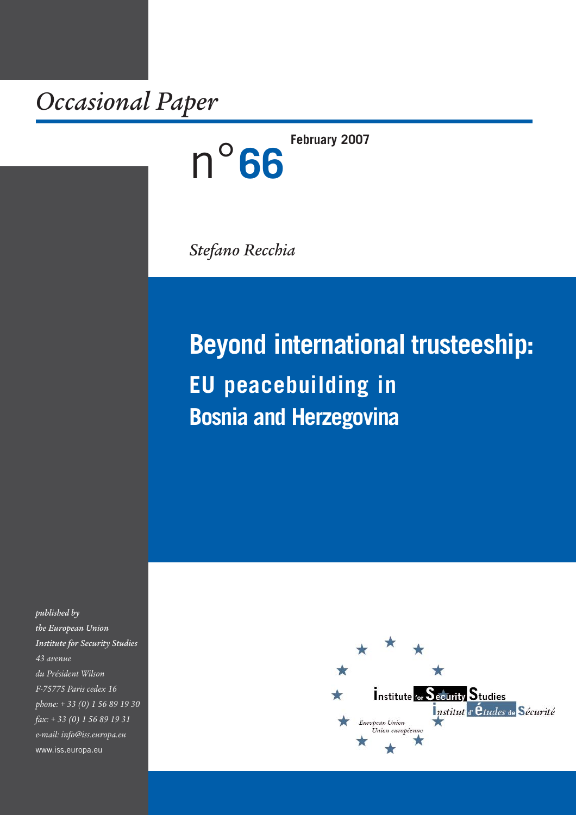*Occasional Paper*

**February 2007**

*Stefano Recchia*

n°**66**

# **Beyond international trusteeship: EU peacebuilding in Bosnia and Herzegovina**

*published by the European Union Institute for Security Studies 43 avenue du Président Wilson F-75775 Paris cedex 16 phone: + 33 (0) 1 56 89 19 30 fax: + 33 (0) 1 56 89 19 31 e-mail: info@iss.europa.eu* www.iss.europa.eu

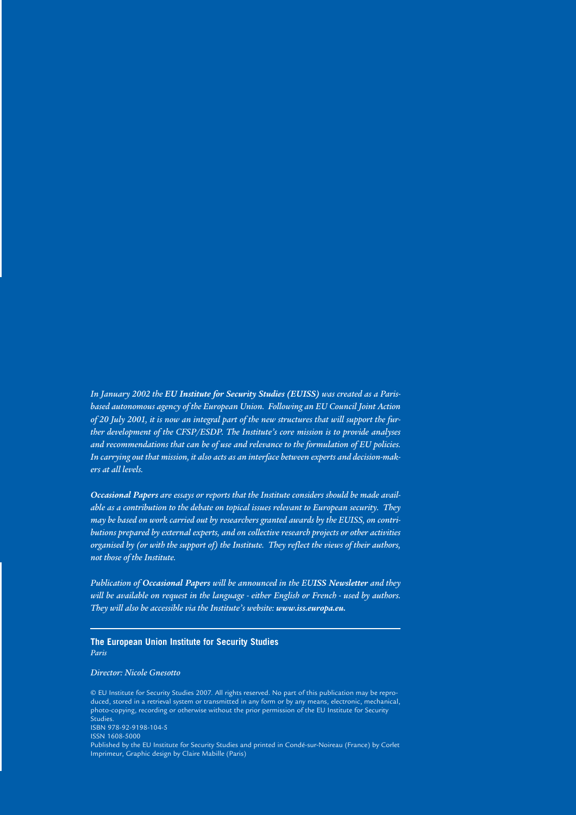*In January 2002 the EU Institute for Security Studies (EUISS) was created as a Parisbased autonomous agency of the European Union. Following an EU Council Joint Action of 20 July 2001, it is now an integral part of the new structures that will support the further development of the CFSP/ESDP. The Institute's core mission is to provide analyses and recommendations that can be of use and relevance to the formulation of EU policies. In carrying out that mission, it also acts as an interface between experts and decision-makers at all levels.* 

*Occasional Papers are essays or reports that the Institute considers should be made available as a contribution to the debate on topical issues relevant to European security. They may be based on work carried out by researchers granted awards by the EUISS, on contributions prepared by external experts, and on collective research projects or other activities organised by (or with the support of) the Institute. They reflect the views of their authors, not those of the Institute.*

*Publication of Occasional Papers will be announced in the EUISS Newsletter and they will be available on request in the language - either English or French - used by authors. They will also be accessible via the Institute's website: www.iss.europa.eu.*

#### **The European Union Institute for Security Studies** *Paris*

#### *Director: Nicole Gnesotto*

© EU Institute for Security Studies 2007. All rights reserved. No part of this publication may be reproduced, stored in a retrieval system or transmitted in any form or by any means, electronic, mechanical, photo-copying, recording or otherwise without the prior permission of the EU Institute for Security Studies. ISBN 978-92-9198-104-5 ISSN 1608-5000 Published by the EU Institute for Security Studies and printed in Condé-sur-Noireau (France) by Corlet Imprimeur, Graphic design by Claire Mabille (Paris)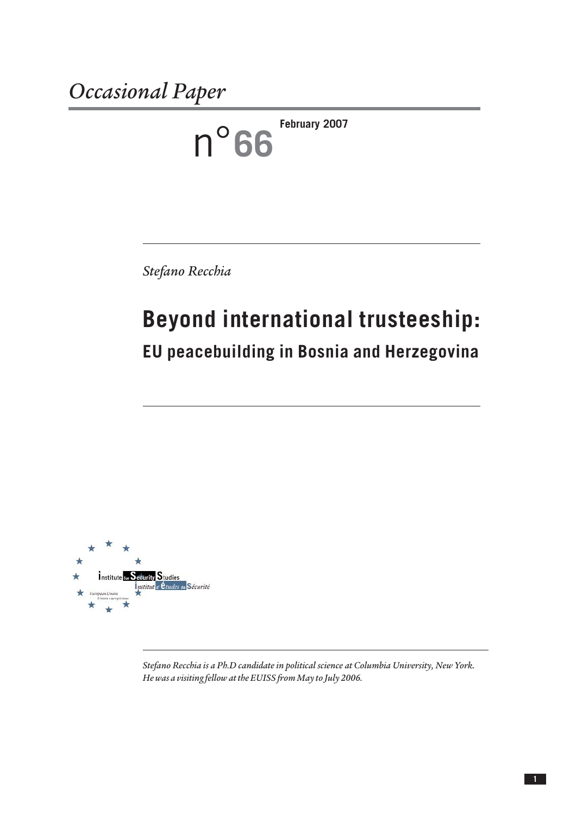n°**66 February 2007**

*Stefano Recchia*

# **Beyond international trusteeship: EU peacebuilding in Bosnia and Herzegovina**





*Stefano Recchia is a Ph.D candidate in political science at Columbia University, New York. He was a visiting fellow at the EUISS from May to July 2006.*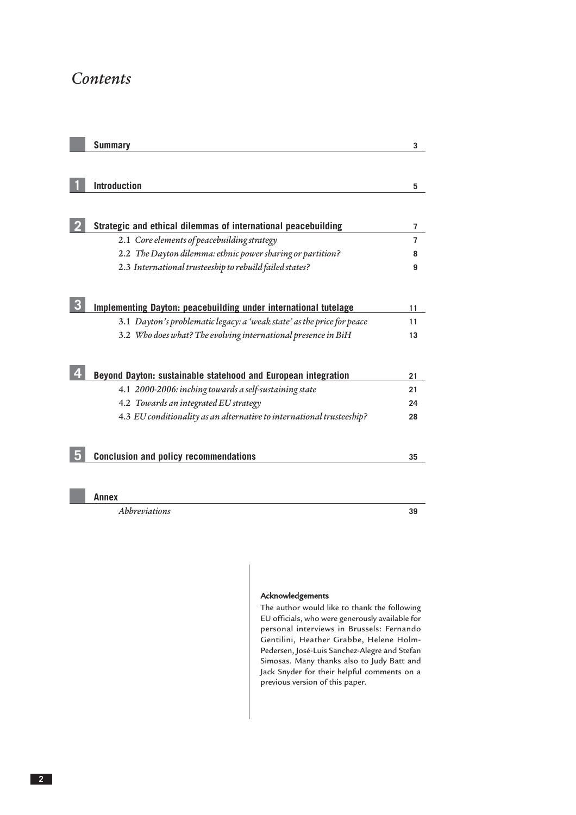### *Contents*

| <b>Summary</b>                                                         | 3              |
|------------------------------------------------------------------------|----------------|
|                                                                        |                |
| <b>Introduction</b>                                                    | 5              |
|                                                                        |                |
| Strategic and ethical dilemmas of international peacebuilding          | $\overline{7}$ |
| 2.1 Core elements of peacebuilding strategy                            | $\overline{7}$ |
| 2.2 The Dayton dilemma: ethnic power sharing or partition?             | 8              |
| 2.3 International trusteeship to rebuild failed states?                | 9              |
|                                                                        |                |
| <b>Implementing Dayton: peacebuilding under international tutelage</b> | 11             |
| 3.1 Dayton's problematic legacy: a 'weak state' as the price for peace | 11             |
| 3.2 Who does what? The evolving international presence in BiH          | 13             |
|                                                                        |                |
| Beyond Dayton: sustainable statehood and European integration          | 21             |
| 4.1 2000-2006: inching towards a self-sustaining state                 | 21             |
| 4.2 Towards an integrated EU strategy                                  | 24             |
| 4.3 EU conditionality as an alternative to international trusteeship?  | 28             |
|                                                                        |                |
|                                                                        |                |
| <b>Conclusion and policy recommendations</b>                           | 35             |
|                                                                        |                |

#### **Annex**

*[Abbreviations](#page-36-0)* **39**

#### Acknowledgements

The author would like to thank the following EU officials, who were generously available for personal interviews in Brussels: Fernando Gentilini, Heather Grabbe, Helene Holm-Pedersen, José-Luis Sanchez-Alegre and Stefan Simosas. Many thanks also to Judy Batt and Jack Snyder for their helpful comments on a previous version of this paper.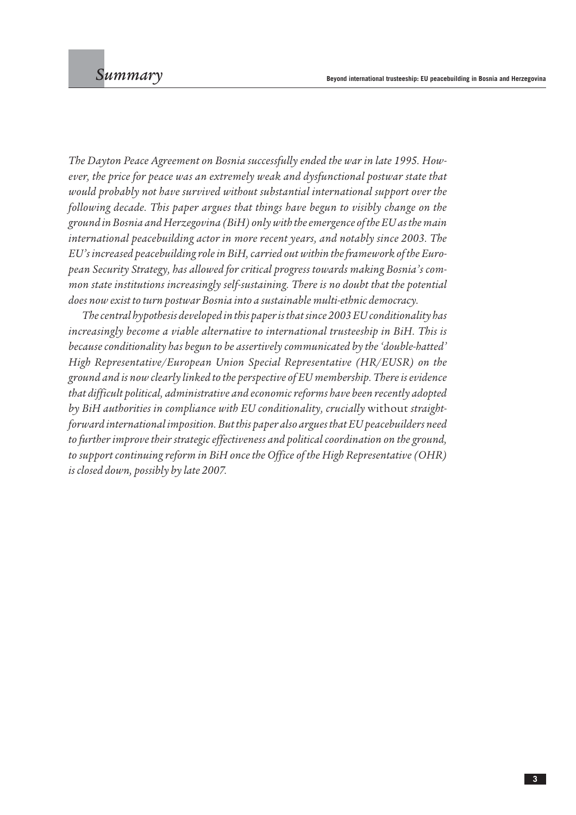<span id="page-4-0"></span>*The Dayton Peace Agreement on Bosnia successfully ended the war in late 1995. However, the price for peace was an extremely weak and dysfunctional postwar state that would probably not have survived without substantial international support over the following decade. This paper argues that things have begun to visibly change on the ground in Bosnia and Herzegovina (BiH) only with the emergence of the EU as the main international peacebuilding actor in more recent years, and notably since 2003. The EU's increased peacebuilding role in BiH, carried out within the framework of the European Security Strategy, has allowed for critical progress towards making Bosnia's common state institutions increasingly self-sustaining. There is no doubt that the potential does now exist to turn postwar Bosnia into a sustainable multi-ethnic democracy.* 

*The central hypothesis developed in this paper is that since 2003 EU conditionality has increasingly become a viable alternative to international trusteeship in BiH. This is because conditionality has begun to be assertively communicated by the 'double-hatted' High Representative/European Union Special Representative (HR/EUSR) on the ground and is now clearly linked to the perspective of EU membership. There is evidence that difficult political, administrative and economic reforms have been recently adopted by BiH authorities in compliance with EU conditionality, crucially* without *straightforward international imposition. But this paper also argues that EU peacebuilders need to further improve their strategic effectiveness and political coordination on the ground, to support continuing reform in BiH once the Office of the High Representative (OHR) is closed down, possibly by late 2007.*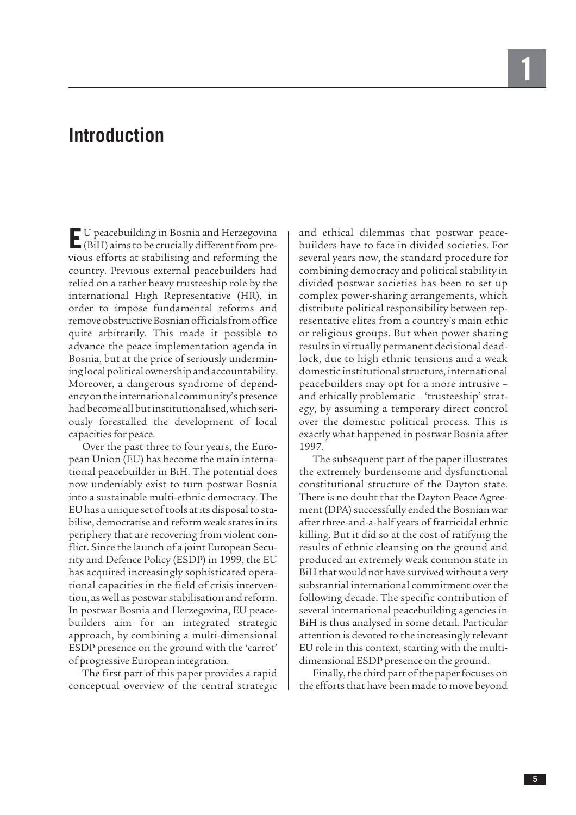## <span id="page-6-0"></span>**Introduction**

**E**U peacebuilding in Bosnia and Herzegovina (BiH) aims to be crucially different from previous efforts at stabilising and reforming the country. Previous external peacebuilders had relied on a rather heavy trusteeship role by the international High Representative (HR), in order to impose fundamental reforms and remove obstructive Bosnian officials from office quite arbitrarily. This made it possible to advance the peace implementation agenda in Bosnia, but at the price of seriously undermining local political ownership and accountability. Moreover, a dangerous syndrome of dependency on the international community's presence had become all but institutionalised, which seriously forestalled the development of local capacities for peace.

Over the past three to four years, the European Union (EU) has become the main international peacebuilder in BiH. The potential does now undeniably exist to turn postwar Bosnia into a sustainable multi-ethnic democracy. The EU has a unique set of tools at its disposal to stabilise, democratise and reform weak states in its periphery that are recovering from violent conflict. Since the launch of a joint European Security and Defence Policy (ESDP) in 1999, the EU has acquired increasingly sophisticated operational capacities in the field of crisis intervention, as well as postwar stabilisation and reform. In postwar Bosnia and Herzegovina, EU peacebuilders aim for an integrated strategic approach, by combining a multi-dimensional ESDP presence on the ground with the 'carrot' of progressive European integration.

The first part of this paper provides a rapid conceptual overview of the central strategic and ethical dilemmas that postwar peacebuilders have to face in divided societies. For several years now, the standard procedure for combining democracy and political stability in divided postwar societies has been to set up complex power-sharing arrangements, which distribute political responsibility between representative elites from a country's main ethic or religious groups. But when power sharing results in virtually permanent decisional deadlock, due to high ethnic tensions and a weak domestic institutional structure, international peacebuilders may opt for a more intrusive – and ethically problematic – 'trusteeship' strategy, by assuming a temporary direct control over the domestic political process. This is exactly what happened in postwar Bosnia after 1997.

The subsequent part of the paper illustrates the extremely burdensome and dysfunctional constitutional structure of the Dayton state. There is no doubt that the Dayton Peace Agreement (DPA) successfully ended the Bosnian war after three-and-a-half years of fratricidal ethnic killing. But it did so at the cost of ratifying the results of ethnic cleansing on the ground and produced an extremely weak common state in BiH that would not have survived without a very substantial international commitment over the following decade. The specific contribution of several international peacebuilding agencies in BiH is thus analysed in some detail. Particular attention is devoted to the increasingly relevant EU role in this context, starting with the multidimensional ESDP presence on the ground.

Finally, the third part of the paper focuses on the efforts that have been made to move beyond

**1**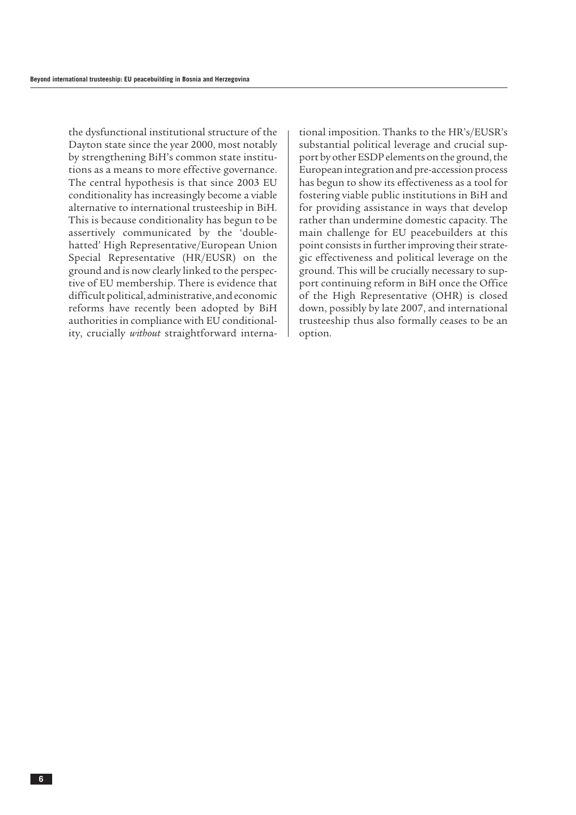the dysfunctional institutional structure of the Dayton state since the year 2000, most notably by strengthening BiH's common state institutions as a means to more effective governance. The central hypothesis is that since 2003 EU conditionality has increasingly become a viable alternative to international trusteeship in BiH. This is because conditionality has begun to be assertively communicated by the 'doublehatted' High Representative/European Union Special Representative (HR/EUSR) on the ground and is now clearly linked to the perspective of EU membership. There is evidence that difficult political, administrative, and economic reforms have recently been adopted by BiH authorities in compliance with EU conditionality, crucially *without* straightforward international imposition. Thanks to the HR's/EUSR's substantial political leverage and crucial support by other ESDP elements on the ground, the European integration and pre-accession process has begun to show its effectiveness as a tool for fostering viable public institutions in BiH and for providing assistance in ways that develop rather than undermine domestic capacity. The main challenge for EU peacebuilders at this point consists in further improving their strategic effectiveness and political leverage on the ground. This will be crucially necessary to support continuing reform in BiH once the Office of the High Representative (OHR) is closed down, possibly by late 2007, and international trusteeship thus also formally ceases to be an option.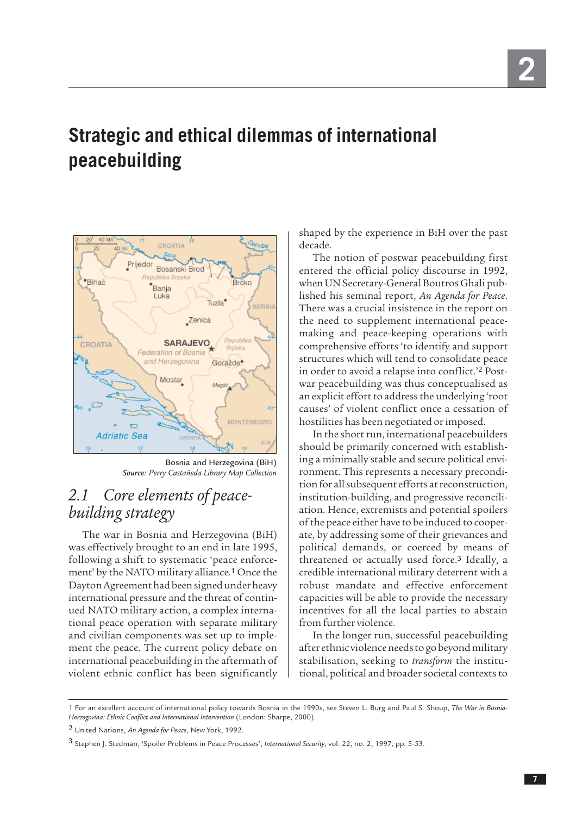## <span id="page-8-0"></span>**Strategic and ethical dilemmas of international peacebuilding**



Bosnia and Herzegovina (BiH) *Source: Perry Castañeda Library Map Collection*

## *2.1 Core elements of peacebuilding strategy*

The war in Bosnia and Herzegovina (BiH) was effectively brought to an end in late 1995, following a shift to systematic 'peace enforcement' by the NATO military alliance.<sup>1</sup> Once the Dayton Agreement had been signed under heavy international pressure and the threat of continued NATO military action, a complex international peace operation with separate military and civilian components was set up to implement the peace. The current policy debate on international peacebuilding in the aftermath of violent ethnic conflict has been significantly

shaped by the experience in BiH over the past decade.

The notion of postwar peacebuilding first entered the official policy discourse in 1992, when UN Secretary-General Boutros Ghali published his seminal report, *An Agenda for Peace*. There was a crucial insistence in the report on the need to supplement international peacemaking and peace-keeping operations with comprehensive efforts 'to identify and support structures which will tend to consolidate peace in order to avoid a relapse into conflict.'<sup>2</sup> Postwar peacebuilding was thus conceptualised as an explicit effort to address the underlying 'root causes' of violent conflict once a cessation of hostilities has been negotiated or imposed.

In the short run, international peacebuilders should be primarily concerned with establishing a minimally stable and secure political environment. This represents a necessary precondition for all subsequent efforts at reconstruction, institution-building, and progressive reconciliation. Hence, extremists and potential spoilers of the peace either have to be induced to cooperate, by addressing some of their grievances and political demands, or coerced by means of threatened or actually used force.<sup>3</sup> Ideally, a credible international military deterrent with a robust mandate and effective enforcement capacities will be able to provide the necessary incentives for all the local parties to abstain from further violence.

In the longer run, successful peacebuilding after ethnic violence needs to go beyond military stabilisation, seeking to *transform* the institutional, political and broader societal contexts to

<sup>1</sup> For an excellent account of international policy towards Bosnia in the 1990s, see Steven L. Burg and Paul S. Shoup, *The War in Bosnia-Herzegovina: Ethnic Conflict and International Intervention* (London: Sharpe, 2000).

<sup>2</sup> United Nations, *An Agenda for Peace*, New York, 1992.

<sup>3</sup> Stephen J. Stedman, 'Spoiler Problems in Peace Processes', *International Security*, vol. 22, no. 2, 1997, pp. 5-53.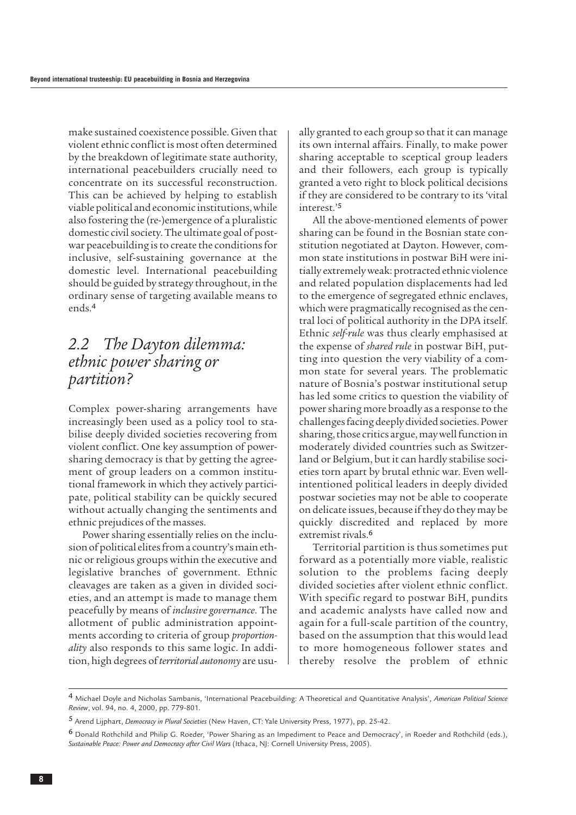<span id="page-9-0"></span>make sustained coexistence possible. Given that violent ethnic conflict is most often determined by the breakdown of legitimate state authority, international peacebuilders crucially need to concentrate on its successful reconstruction. This can be achieved by helping to establish viable political and economic institutions, while also fostering the (re-)emergence of a pluralistic domestic civil society. The ultimate goal of postwar peacebuilding is to create the conditions for inclusive, self-sustaining governance at the domestic level. International peacebuilding should be guided by strategy throughout, in the ordinary sense of targeting available means to ends.<sup>4</sup>

### *2.2 The Dayton dilemma: ethnic power sharing or partition?*

Complex power-sharing arrangements have increasingly been used as a policy tool to stabilise deeply divided societies recovering from violent conflict. One key assumption of powersharing democracy is that by getting the agreement of group leaders on a common institutional framework in which they actively participate, political stability can be quickly secured without actually changing the sentiments and ethnic prejudices of the masses.

Power sharing essentially relies on the inclusion of political elites from a country's main ethnic or religious groups within the executive and legislative branches of government. Ethnic cleavages are taken as a given in divided societies, and an attempt is made to manage them peacefully by means of *inclusive governance*. The allotment of public administration appointments according to criteria of group *proportionality* also responds to this same logic. In addition, high degrees of *territorial autonomy* are usually granted to each group so that it can manage its own internal affairs. Finally, to make power sharing acceptable to sceptical group leaders and their followers, each group is typically granted a veto right to block political decisions if they are considered to be contrary to its 'vital interest.'<sup>5</sup>

All the above-mentioned elements of power sharing can be found in the Bosnian state constitution negotiated at Dayton. However, common state institutions in postwar BiH were initially extremely weak: protracted ethnic violence and related population displacements had led to the emergence of segregated ethnic enclaves, which were pragmatically recognised as the central loci of political authority in the DPA itself. Ethnic *self-rule* was thus clearly emphasised at the expense of *shared rule* in postwar BiH, putting into question the very viability of a common state for several years. The problematic nature of Bosnia's postwar institutional setup has led some critics to question the viability of power sharing more broadly as a response to the challenges facing deeply divided societies. Power sharing, those critics argue, may well function in moderately divided countries such as Switzerland or Belgium, but it can hardly stabilise societies torn apart by brutal ethnic war. Even wellintentioned political leaders in deeply divided postwar societies may not be able to cooperate on delicate issues, because if they do they may be quickly discredited and replaced by more extremist rivals.<sup>6</sup>

Territorial partition is thus sometimes put forward as a potentially more viable, realistic solution to the problems facing deeply divided societies after violent ethnic conflict. With specific regard to postwar BiH, pundits and academic analysts have called now and again for a full-scale partition of the country, based on the assumption that this would lead to more homogeneous follower states and thereby resolve the problem of ethnic

<sup>4</sup> Michael Doyle and Nicholas Sambanis, 'International Peacebuilding: A Theoretical and Quantitative Analysis', *American Political Science Review*, vol. 94, no. 4, 2000, pp. 779-801.

<sup>5</sup> Arend Lijphart, *Democracy in Plural Societies* (New Haven, CT: Yale University Press, 1977), pp. 25-42.

<sup>6</sup> Donald Rothchild and Philip G. Roeder, 'Power Sharing as an Impediment to Peace and Democracy', in Roeder and Rothchild (eds.), *Sustainable Peace: Power and Democracy after Civil Wars* (Ithaca, NJ: Cornell University Press, 2005).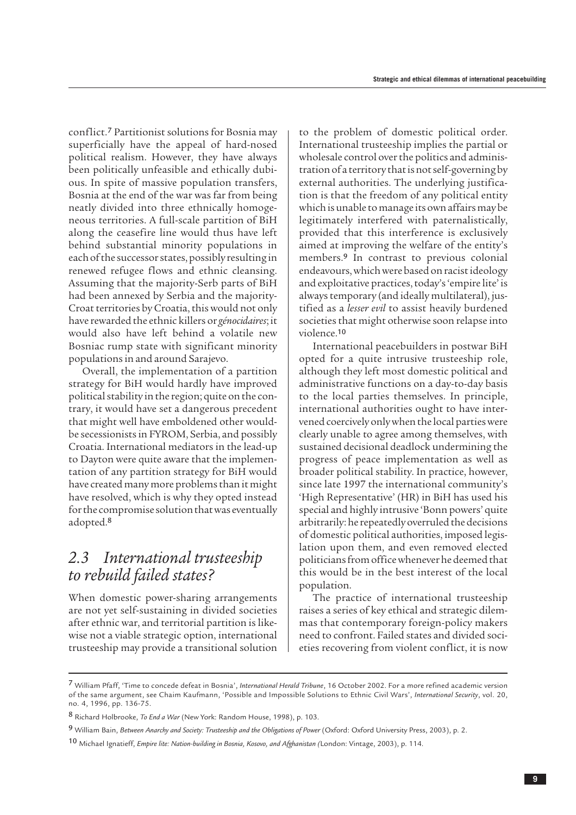<span id="page-10-0"></span>conflict.<sup>7</sup> Partitionist solutions for Bosnia may superficially have the appeal of hard-nosed political realism. However, they have always been politically unfeasible and ethically dubious. In spite of massive population transfers, Bosnia at the end of the war was far from being neatly divided into three ethnically homogeneous territories. A full-scale partition of BiH along the ceasefire line would thus have left behind substantial minority populations in each of the successor states, possibly resulting in renewed refugee flows and ethnic cleansing. Assuming that the majority-Serb parts of BiH had been annexed by Serbia and the majority-Croat territories by Croatia, this would not only have rewarded the ethnic killers or *génocidaires*; it would also have left behind a volatile new Bosniac rump state with significant minority populations in and around Sarajevo.

Overall, the implementation of a partition strategy for BiH would hardly have improved political stability in the region; quite on the contrary, it would have set a dangerous precedent that might well have emboldened other wouldbe secessionists in FYROM, Serbia, and possibly Croatia. International mediators in the lead-up to Dayton were quite aware that the implementation of any partition strategy for BiH would have created many more problems than it might have resolved, which is why they opted instead for the compromise solution that was eventually adopted.<sup>8</sup>

### *2.3 International trusteeship to rebuild failed states?*

When domestic power-sharing arrangements are not yet self-sustaining in divided societies after ethnic war, and territorial partition is likewise not a viable strategic option, international trusteeship may provide a transitional solution

to the problem of domestic political order. International trusteeship implies the partial or wholesale control over the politics and administration of a territory that is not self-governing by external authorities. The underlying justification is that the freedom of any political entity which is unable to manage its own affairs may be legitimately interfered with paternalistically, provided that this interference is exclusively aimed at improving the welfare of the entity's members.<sup>9</sup> In contrast to previous colonial endeavours, which were based on racist ideology and exploitative practices, today's 'empire lite' is always temporary (and ideally multilateral), justified as a *lesser evil* to assist heavily burdened societies that might otherwise soon relapse into violence.<sup>10</sup>

International peacebuilders in postwar BiH opted for a quite intrusive trusteeship role, although they left most domestic political and administrative functions on a day-to-day basis to the local parties themselves. In principle, international authorities ought to have intervened coercively only when the local parties were clearly unable to agree among themselves, with sustained decisional deadlock undermining the progress of peace implementation as well as broader political stability. In practice, however, since late 1997 the international community's 'High Representative' (HR) in BiH has used his special and highly intrusive 'Bonn powers' quite arbitrarily: he repeatedly overruled the decisions of domestic political authorities, imposed legislation upon them, and even removed elected politicians from office whenever he deemed that this would be in the best interest of the local population.

The practice of international trusteeship raises a series of key ethical and strategic dilemmas that contemporary foreign-policy makers need to confront. Failed states and divided societies recovering from violent conflict, it is now

<sup>7</sup> William Pfaff, 'Time to concede defeat in Bosnia', *International Herald Tribune*, 16 October 2002. For a more refined academic version of the same argument, see Chaim Kaufmann, 'Possible and Impossible Solutions to Ethnic Civil Wars', *International Security*, vol. 20, no. 4, 1996, pp. 136-75.

<sup>8</sup> Richard Holbrooke, *To End a War* (New York: Random House, 1998), p. 103.

<sup>9</sup> William Bain, *Between Anarchy and Society: Trusteeship and the Obligations of Power* (Oxford: Oxford University Press, 2003), p. 2.

<sup>10</sup> Michael Ignatieff, *Empire lite: Nation-building in Bosnia, Kosovo, and Afghanistan (*London: Vintage, 2003), p. 114.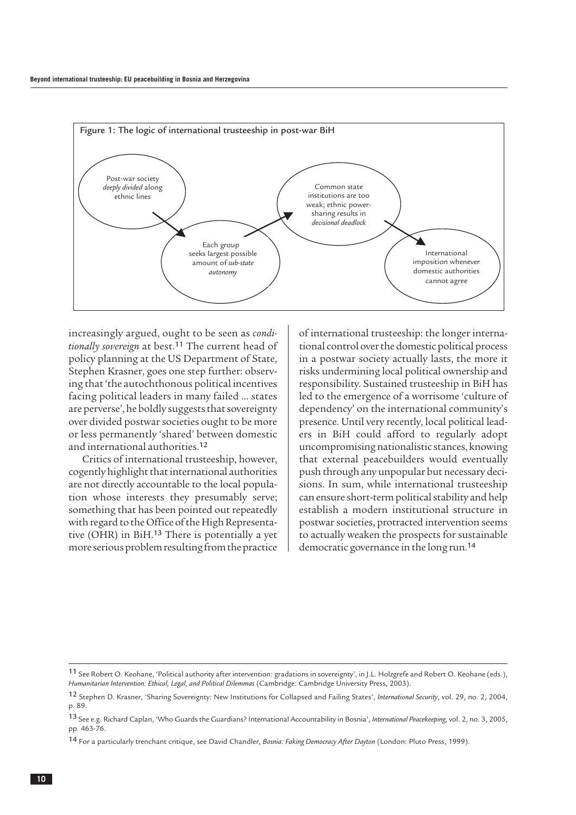

increasingly argued, ought to be seen as *conditionally sovereign* at best.<sup>11</sup> The current head of policy planning at the US Department of State, Stephen Krasner, goes one step further: observing that 'the autochthonous political incentives facing political leaders in many failed … states are perverse', he boldly suggests that sovereignty over divided postwar societies ought to be more or less permanently 'shared' between domestic and international authorities.<sup>12</sup>

Critics of international trusteeship, however, cogently highlight that international authorities are not directly accountable to the local population whose interests they presumably serve; something that has been pointed out repeatedly with regard to the Office of the High Representative (OHR) in BiH.<sup>13</sup> There is potentially a yet more serious problem resulting from the practice

of international trusteeship: the longer international control over the domestic political process in a postwar society actually lasts, the more it risks undermining local political ownership and responsibility. Sustained trusteeship in BiH has led to the emergence of a worrisome 'culture of dependency' on the international community's presence. Until very recently, local political leaders in BiH could afford to regularly adopt uncompromising nationalistic stances, knowing that external peacebuilders would eventually push through any unpopular but necessary decisions. In sum, while international trusteeship can ensure short-term political stability and help establish a modern institutional structure in postwar societies, protracted intervention seems to actually weaken the prospects for sustainable democratic governance in the long run.<sup>14</sup>

<sup>11</sup> See Robert O. Keohane, 'Political authority after intervention: gradations in sovereignty', in J.L. Holzgrefe and Robert O. Keohane (eds.), *Humanitarian Intervention: Ethical, Legal, and Political Dilemmas* (Cambridge: Cambridge University Press, 2003).

<sup>12</sup> Stephen D. Krasner, 'Sharing Sovereignty: New Institutions for Collapsed and Failing States', *International Security*, vol. 29, no. 2, 2004, p. 89.

<sup>13</sup> See e.g. Richard Caplan, 'Who Guards the Guardians? International Accountability in Bosnia', *International Peacekeeping*, vol. 2, no. 3, 2005, pp. 463-76.

<sup>14</sup> For a particularly trenchant critique, see David Chandler, *Bosnia: Faking Democracy After Dayton* (London: Pluto Press, 1999).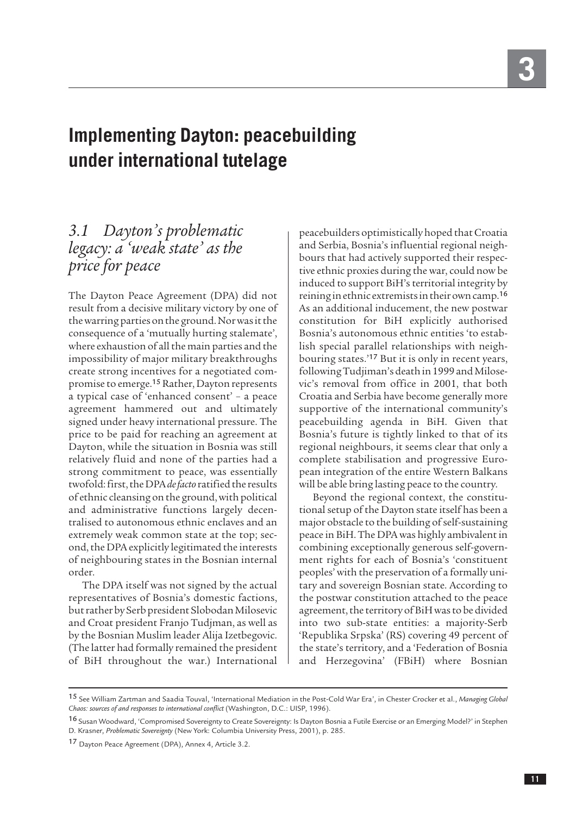## <span id="page-12-0"></span>**Implementing Dayton: peacebuilding under international tutelage**

## *3.1 Dayton's problematic legacy: a 'weak state' as the price for peace*

The Dayton Peace Agreement (DPA) did not result from a decisive military victory by one of the warring parties on the ground. Nor was it the consequence of a 'mutually hurting stalemate', where exhaustion of all the main parties and the impossibility of major military breakthroughs create strong incentives for a negotiated compromise to emerge.<sup>15</sup> Rather, Dayton represents a typical case of 'enhanced consent' – a peace agreement hammered out and ultimately signed under heavy international pressure. The price to be paid for reaching an agreement at Dayton, while the situation in Bosnia was still relatively fluid and none of the parties had a strong commitment to peace, was essentially twofold: first, the DPA *de facto* ratified the results of ethnic cleansing on the ground, with political and administrative functions largely decentralised to autonomous ethnic enclaves and an extremely weak common state at the top; second, the DPA explicitly legitimated the interests of neighbouring states in the Bosnian internal order.

The DPA itself was not signed by the actual representatives of Bosnia's domestic factions, but rather by Serb president Slobodan Milosevic and Croat president Franjo Tudjman, as well as by the Bosnian Muslim leader Alija Izetbegovic. (The latter had formally remained the president of BiH throughout the war.) International

peacebuilders optimistically hoped that Croatia and Serbia, Bosnia's influential regional neighbours that had actively supported their respective ethnic proxies during the war, could now be induced to support BiH's territorial integrity by reining in ethnic extremists in their own camp.<sup>16</sup> As an additional inducement, the new postwar constitution for BiH explicitly authorised Bosnia's autonomous ethnic entities 'to establish special parallel relationships with neighbouring states.'<sup>17</sup> But it is only in recent years, following Tudjiman's death in 1999 and Milosevic's removal from office in 2001, that both Croatia and Serbia have become generally more supportive of the international community's peacebuilding agenda in BiH. Given that Bosnia's future is tightly linked to that of its regional neighbours, it seems clear that only a complete stabilisation and progressive European integration of the entire Western Balkans will be able bring lasting peace to the country.

Beyond the regional context, the constitutional setup of the Dayton state itself has been a major obstacle to the building of self-sustaining peace in BiH. The DPA was highly ambivalent in combining exceptionally generous self-government rights for each of Bosnia's 'constituent peoples' with the preservation of a formally unitary and sovereign Bosnian state. According to the postwar constitution attached to the peace agreement, the territory of BiH was to be divided into two sub-state entities: a majority-Serb 'Republika Srpska' (RS) covering 49 percent of the state's territory, and a 'Federation of Bosnia and Herzegovina' (FBiH) where Bosnian

<sup>15</sup> See William Zartman and Saadia Touval, 'International Mediation in the Post-Cold War Era', in Chester Crocker et al., *Managing Global Chaos: sources of and responses to international conflict* (Washington, D.C.: UISP, 1996).

<sup>16</sup> Susan Woodward, 'Compromised Sovereignty to Create Sovereignty: Is Dayton Bosnia a Futile Exercise or an Emerging Model?' in Stephen D. Krasner, *Problematic Sovereignty* (New York: Columbia University Press, 2001), p. 285.

<sup>17</sup> Dayton Peace Agreement (DPA), Annex 4, Article 3.2.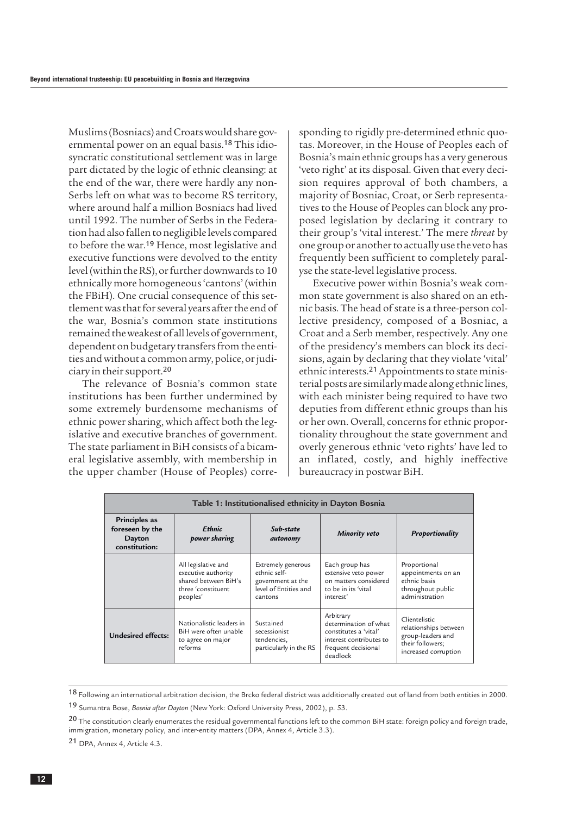Muslims (Bosniacs) and Croats would share governmental power on an equal basis.<sup>18</sup> This idiosyncratic constitutional settlement was in large part dictated by the logic of ethnic cleansing: at the end of the war, there were hardly any non-Serbs left on what was to become RS territory, where around half a million Bosniacs had lived until 1992. The number of Serbs in the Federation had also fallen to negligible levels compared to before the war.<sup>19</sup> Hence, most legislative and executive functions were devolved to the entity level (within the RS), or further downwards to 10 ethnically more homogeneous 'cantons' (within the FBiH). One crucial consequence of this settlement was that for several years after the end of the war, Bosnia's common state institutions remained the weakest of all levels of government, dependent on budgetary transfers from the entities and without a common army, police, or judiciary in their support.<sup>20</sup>

The relevance of Bosnia's common state institutions has been further undermined by some extremely burdensome mechanisms of ethnic power sharing, which affect both the legislative and executive branches of government. The state parliament in BiH consists of a bicameral legislative assembly, with membership in the upper chamber (House of Peoples) corresponding to rigidly pre-determined ethnic quotas. Moreover, in the House of Peoples each of Bosnia's main ethnic groups has a very generous 'veto right' at its disposal. Given that every decision requires approval of both chambers, a majority of Bosniac, Croat, or Serb representatives to the House of Peoples can block any proposed legislation by declaring it contrary to their group's 'vital interest.' The mere *threat* by one group or another to actually use the veto has frequently been sufficient to completely paralyse the state-level legislative process.

Executive power within Bosnia's weak common state government is also shared on an ethnic basis. The head of state is a three-person collective presidency, composed of a Bosniac, a Croat and a Serb member, respectively. Any one of the presidency's members can block its decisions, again by declaring that they violate 'vital' ethnic interests.21Appointments to state ministerial posts are similarly made along ethnic lines, with each minister being required to have two deputies from different ethnic groups than his or her own. Overall, concerns for ethnic proportionality throughout the state government and overly generous ethnic 'veto rights' have led to an inflated, costly, and highly ineffective bureaucracy in postwar BiH.

| Table 1: Institutionalised ethnicity in Dayton Bosnia       |                                                                                                      |                                                                                             |                                                                                                                           |                                                                                                         |  |
|-------------------------------------------------------------|------------------------------------------------------------------------------------------------------|---------------------------------------------------------------------------------------------|---------------------------------------------------------------------------------------------------------------------------|---------------------------------------------------------------------------------------------------------|--|
| Principles as<br>foreseen by the<br>Dayton<br>constitution: | <b>Ethnic</b><br>power sharing                                                                       | Sub-state<br>autonomy                                                                       | Minority veto                                                                                                             | <b>Proportionality</b>                                                                                  |  |
|                                                             | All legislative and<br>executive authority<br>shared between BiH's<br>three 'constituent<br>peoples' | Extremely generous<br>ethnic self-<br>government at the<br>level of Entities and<br>cantons | Each group has<br>extensive veto power<br>on matters considered<br>to be in its 'vital<br>interest'                       | Proportional<br>appointments on an<br>ethnic basis<br>throughout public<br>administration               |  |
| <b>Undesired effects:</b>                                   | Nationalistic leaders in<br>BiH were often unable<br>to agree on major<br>reforms                    | Sustained<br>secessionist<br>tendencies,<br>particularly in the RS                          | Arbitrary<br>determination of what<br>constitutes a 'vital'<br>interest contributes to<br>frequent decisional<br>deadlock | Clientelistic<br>relationships between<br>group-leaders and<br>their followers;<br>increased corruption |  |

<sup>18</sup> Following an international arbitration decision, the Brcko federal district was additionally created out of land from both entities in 2000.

21 DPA, Annex 4, Article 4.3.

<sup>19</sup> Sumantra Bose, *Bosnia after Dayton* (New York: Oxford University Press, 2002), p. 53.

<sup>&</sup>lt;sup>20</sup> The constitution clearly enumerates the residual governmental functions left to the common BiH state: foreign policy and foreign trade, immigration, monetary policy, and inter-entity matters (DPA, Annex 4, Article 3.3).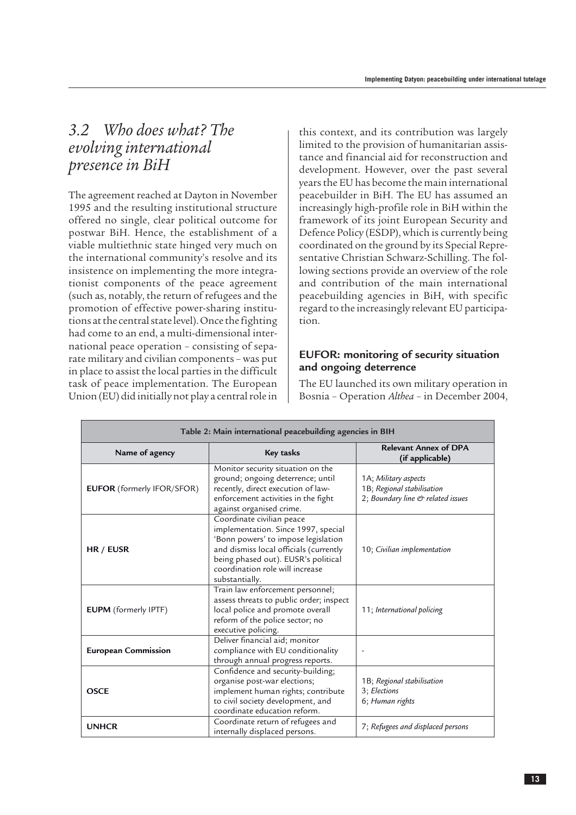### <span id="page-14-0"></span>*3.2 Who does what? The evolving international presence in BiH*

The agreement reached at Dayton in November 1995 and the resulting institutional structure offered no single, clear political outcome for postwar BiH. Hence, the establishment of a viable multiethnic state hinged very much on the international community's resolve and its insistence on implementing the more integrationist components of the peace agreement (such as, notably, the return of refugees and the promotion of effective power-sharing institutions at the central state level). Once the fighting had come to an end, a multi-dimensional international peace operation – consisting of separate military and civilian components – was put in place to assist the local parties in the difficult task of peace implementation. The European Union (EU) did initially not play a central role in this context, and its contribution was largely limited to the provision of humanitarian assistance and financial aid for reconstruction and development. However, over the past several years the EU has become the main international peacebuilder in BiH. The EU has assumed an increasingly high-profile role in BiH within the framework of its joint European Security and Defence Policy (ESDP), which is currently being coordinated on the ground by its Special Representative Christian Schwarz-Schilling. The following sections provide an overview of the role and contribution of the main international peacebuilding agencies in BiH, with specific regard to the increasingly relevant EU participation.

#### **EUFOR: monitoring of security situation and ongoing deterrence**

The EU launched its own military operation in Bosnia – Operation *Althea* – in December 2004,

| Table 2: Main international peacebuilding agencies in BIH |                                                                                                                                                                                                                                               |                                                                                                      |  |  |  |
|-----------------------------------------------------------|-----------------------------------------------------------------------------------------------------------------------------------------------------------------------------------------------------------------------------------------------|------------------------------------------------------------------------------------------------------|--|--|--|
| Name of agency                                            | Key tasks                                                                                                                                                                                                                                     | <b>Relevant Annex of DPA</b><br>(if applicable)                                                      |  |  |  |
| EUFOR (formerly IFOR/SFOR)                                | Monitor security situation on the<br>ground; ongoing deterrence; until<br>recently, direct execution of law-<br>enforcement activities in the fight<br>against organised crime.                                                               | 1A; Military aspects<br>1B; Regional stabilisation<br>2; Boundary line $\mathfrak{G}$ related issues |  |  |  |
| HR / EUSR                                                 | Coordinate civilian peace<br>implementation. Since 1997, special<br>'Bonn powers' to impose legislation<br>and dismiss local officials (currently<br>being phased out). EUSR's political<br>coordination role will increase<br>substantially. | 10; Civilian implementation                                                                          |  |  |  |
| <b>EUPM</b> (formerly IPTF)                               | Train law enforcement personnel;<br>assess threats to public order; inspect<br>local police and promote overall<br>reform of the police sector; no<br>executive policing.                                                                     | 11; International policing                                                                           |  |  |  |
| <b>European Commission</b>                                | Deliver financial aid; monitor<br>compliance with EU conditionality<br>through annual progress reports.                                                                                                                                       |                                                                                                      |  |  |  |
| <b>OSCE</b>                                               | Confidence and security-building;<br>organise post-war elections;<br>implement human rights; contribute<br>to civil society development, and<br>coordinate education reform.                                                                  | 1B; Regional stabilisation<br>3; Elections<br>6; Human rights                                        |  |  |  |
| <b>UNHCR</b>                                              | Coordinate return of refugees and<br>internally displaced persons.                                                                                                                                                                            | 7; Refugees and displaced persons                                                                    |  |  |  |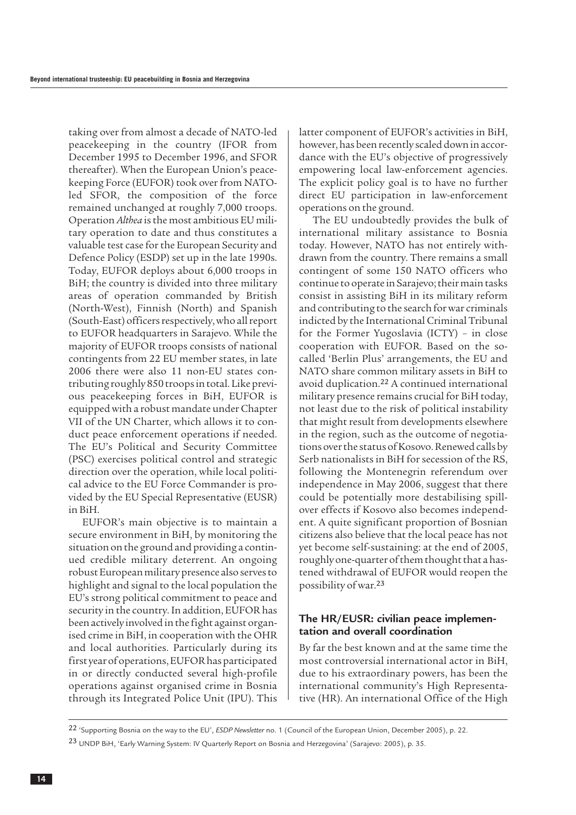taking over from almost a decade of NATO-led peacekeeping in the country (IFOR from December 1995 to December 1996, and SFOR thereafter). When the European Union's peacekeeping Force (EUFOR) took over from NATOled SFOR, the composition of the force remained unchanged at roughly 7,000 troops. Operation *Althea* is the most ambitious EU military operation to date and thus constitutes a valuable test case for the European Security and Defence Policy (ESDP) set up in the late 1990s. Today, EUFOR deploys about 6,000 troops in BiH; the country is divided into three military areas of operation commanded by British (North-West), Finnish (North) and Spanish (South-East) officers respectively, who all report to EUFOR headquarters in Sarajevo. While the majority of EUFOR troops consists of national contingents from 22 EU member states, in late 2006 there were also 11 non-EU states contributing roughly 850 troops in total. Like previous peacekeeping forces in BiH, EUFOR is equipped with a robust mandate under Chapter VII of the UN Charter, which allows it to conduct peace enforcement operations if needed. The EU's Political and Security Committee (PSC) exercises political control and strategic direction over the operation, while local political advice to the EU Force Commander is provided by the EU Special Representative (EUSR) in BiH.

EUFOR's main objective is to maintain a secure environment in BiH, by monitoring the situation on the ground and providing a continued credible military deterrent. An ongoing robust European military presence also serves to highlight and signal to the local population the EU's strong political commitment to peace and security in the country. In addition, EUFOR has been actively involved in the fight against organised crime in BiH, in cooperation with the OHR and local authorities. Particularly during its first year of operations, EUFOR has participated in or directly conducted several high-profile operations against organised crime in Bosnia through its Integrated Police Unit (IPU). This

latter component of EUFOR's activities in BiH, however, has been recently scaled down in accordance with the EU's objective of progressively empowering local law-enforcement agencies. The explicit policy goal is to have no further direct EU participation in law-enforcement operations on the ground.

The EU undoubtedly provides the bulk of international military assistance to Bosnia today. However, NATO has not entirely withdrawn from the country. There remains a small contingent of some 150 NATO officers who continue to operate in Sarajevo; their main tasks consist in assisting BiH in its military reform and contributing to the search for war criminals indicted by the International Criminal Tribunal for the Former Yugoslavia (ICTY) – in close cooperation with EUFOR. Based on the socalled 'Berlin Plus' arrangements, the EU and NATO share common military assets in BiH to avoid duplication.<sup>22</sup> A continued international military presence remains crucial for BiH today, not least due to the risk of political instability that might result from developments elsewhere in the region, such as the outcome of negotiations over the status of Kosovo. Renewed calls by Serb nationalists in BiH for secession of the RS, following the Montenegrin referendum over independence in May 2006, suggest that there could be potentially more destabilising spillover effects if Kosovo also becomes independent. A quite significant proportion of Bosnian citizens also believe that the local peace has not yet become self-sustaining: at the end of 2005, roughly one-quarter of them thought that a hastened withdrawal of EUFOR would reopen the possibility of war.<sup>23</sup>

#### **The HR/EUSR: civilian peace implementation and overall coordination**

By far the best known and at the same time the most controversial international actor in BiH, due to his extraordinary powers, has been the international community's High Representative (HR). An international Office of the High

<sup>22</sup> 'Supporting Bosnia on the way to the EU', *ESDP Newsletter* no. 1 (Council of the European Union, December 2005), p. 22.

<sup>23</sup> UNDP BiH, 'Early Warning System: IV Quarterly Report on Bosnia and Herzegovina' (Sarajevo: 2005), p. 35.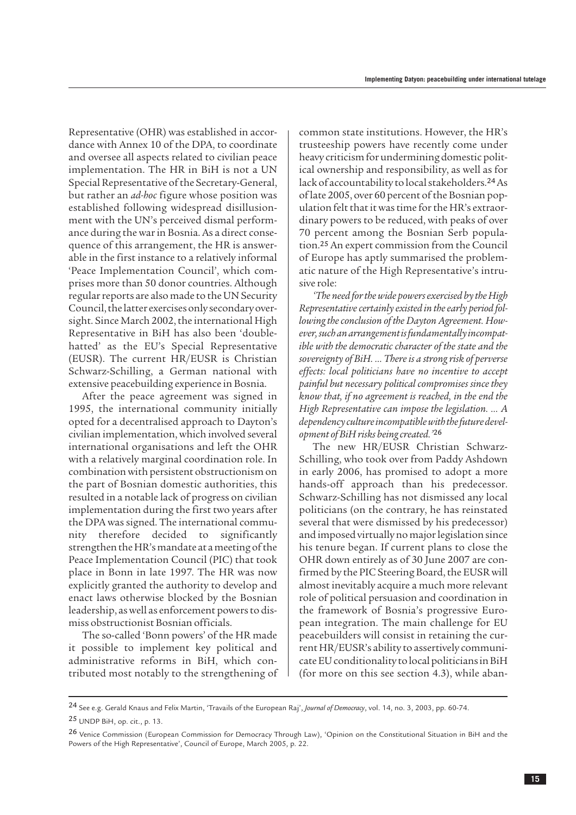Representative (OHR) was established in accordance with Annex 10 of the DPA, to coordinate and oversee all aspects related to civilian peace implementation. The HR in BiH is not a UN Special Representative of the Secretary-General, but rather an *ad-hoc* figure whose position was established following widespread disillusionment with the UN's perceived dismal performance during the war in Bosnia. As a direct consequence of this arrangement, the HR is answerable in the first instance to a relatively informal 'Peace Implementation Council', which comprises more than 50 donor countries. Although regular reports are also made to the UN Security Council, the latter exercises only secondary oversight. Since March 2002, the international High Representative in BiH has also been 'doublehatted' as the EU's Special Representative (EUSR). The current HR/EUSR is Christian Schwarz-Schilling, a German national with extensive peacebuilding experience in Bosnia.

After the peace agreement was signed in 1995, the international community initially opted for a decentralised approach to Dayton's civilian implementation, which involved several international organisations and left the OHR with a relatively marginal coordination role. In combination with persistent obstructionism on the part of Bosnian domestic authorities, this resulted in a notable lack of progress on civilian implementation during the first two years after the DPA was signed. The international community therefore decided to significantly strengthen the HR's mandate at a meeting of the Peace Implementation Council (PIC) that took place in Bonn in late 1997. The HR was now explicitly granted the authority to develop and enact laws otherwise blocked by the Bosnian leadership, as well as enforcement powers to dismiss obstructionist Bosnian officials.

The so-called 'Bonn powers' of the HR made it possible to implement key political and administrative reforms in BiH, which contributed most notably to the strengthening of common state institutions. However, the HR's trusteeship powers have recently come under heavy criticism for undermining domestic political ownership and responsibility, as well as for lack of accountability to local stakeholders.24As of late 2005, over 60 percent of the Bosnian population felt that it was time for the HR's extraordinary powers to be reduced, with peaks of over 70 percent among the Bosnian Serb population.<sup>25</sup> An expert commission from the Council of Europe has aptly summarised the problematic nature of the High Representative's intrusive role:

*'The need for the wide powers exercised by the High Representative certainly existed in the early period following the conclusion of the Dayton Agreement. However, such an arrangement is fundamentally incompatible with the democratic character of the state and the sovereignty of BiH. … There is a strong risk of perverse effects: local politicians have no incentive to accept painful but necessary political compromises since they know that, if no agreement is reached, in the end the High Representative can impose the legislation. … A dependency culture incompatible with the future development of BiH risks being created.'*<sup>26</sup>

The new HR/EUSR Christian Schwarz-Schilling, who took over from Paddy Ashdown in early 2006, has promised to adopt a more hands-off approach than his predecessor. Schwarz-Schilling has not dismissed any local politicians (on the contrary, he has reinstated several that were dismissed by his predecessor) and imposed virtually no major legislation since his tenure began. If current plans to close the OHR down entirely as of 30 June 2007 are confirmed by the PIC Steering Board, the EUSR will almost inevitably acquire a much more relevant role of political persuasion and coordination in the framework of Bosnia's progressive European integration. The main challenge for EU peacebuilders will consist in retaining the current HR/EUSR's ability to assertively communicate EU conditionality to local politicians in BiH (for more on this see section 4.3), while aban-

24 See e.g. Gerald Knaus and Felix Martin, 'Travails of the European Raj', *Journal of Democracy*, vol. 14, no. 3, 2003, pp. 60-74.

25 UNDP BiH, op. cit., p. 13.

<sup>26</sup> Venice Commission (European Commission for Democracy Through Law), 'Opinion on the Constitutional Situation in BiH and the Powers of the High Representative', Council of Europe, March 2005, p. 22.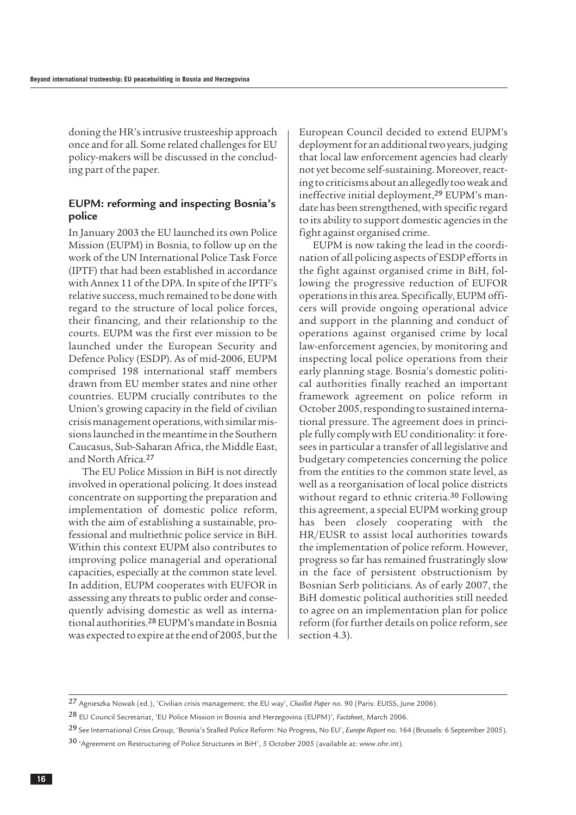doning the HR's intrusive trusteeship approach once and for all. Some related challenges for EU policy-makers will be discussed in the concluding part of the paper.

#### **EUPM: reforming and inspecting Bosnia's police**

In January 2003 the EU launched its own Police Mission (EUPM) in Bosnia, to follow up on the work of the UN International Police Task Force (IPTF) that had been established in accordance with Annex 11 of the DPA. In spite of the IPTF's relative success, much remained to be done with regard to the structure of local police forces, their financing, and their relationship to the courts. EUPM was the first ever mission to be launched under the European Security and Defence Policy (ESDP). As of mid-2006, EUPM comprised 198 international staff members drawn from EU member states and nine other countries. EUPM crucially contributes to the Union's growing capacity in the field of civilian crisis management operations, with similar missions launched in the meantime in the Southern Caucasus, Sub-Saharan Africa, the Middle East, and North Africa.<sup>27</sup>

The EU Police Mission in BiH is not directly involved in operational policing. It does instead concentrate on supporting the preparation and implementation of domestic police reform, with the aim of establishing a sustainable, professional and multiethnic police service in BiH. Within this context EUPM also contributes to improving police managerial and operational capacities, especially at the common state level. In addition, EUPM cooperates with EUFOR in assessing any threats to public order and consequently advising domestic as well as international authorities.28EUPM's mandate in Bosnia was expected to expire at the end of 2005, but the

European Council decided to extend EUPM's deployment for an additional two years, judging that local law enforcement agencies had clearly not yet become self-sustaining. Moreover, reacting to criticisms about an allegedly too weak and ineffective initial deployment,<sup>29</sup> EUPM's mandate has been strengthened, with specific regard to its ability to support domestic agencies in the fight against organised crime.

EUPM is now taking the lead in the coordination of all policing aspects of ESDP efforts in the fight against organised crime in BiH, following the progressive reduction of EUFOR operations in this area. Specifically, EUPM officers will provide ongoing operational advice and support in the planning and conduct of operations against organised crime by local law-enforcement agencies, by monitoring and inspecting local police operations from their early planning stage. Bosnia's domestic political authorities finally reached an important framework agreement on police reform in October 2005, responding to sustained international pressure. The agreement does in principle fully comply with EU conditionality: it foresees in particular a transfer of all legislative and budgetary competencies concerning the police from the entities to the common state level, as well as a reorganisation of local police districts without regard to ethnic criteria.<sup>30</sup> Following this agreement, a special EUPM working group has been closely cooperating with the HR/EUSR to assist local authorities towards the implementation of police reform. However, progress so far has remained frustratingly slow in the face of persistent obstructionism by Bosnian Serb politicians. As of early 2007, the BiH domestic political authorities still needed to agree on an implementation plan for police reform (for further details on police reform, see section 4.3).

<sup>27</sup> Agnieszka Nowak (ed.), 'Civilian crisis management: the EU way', *Chaillot Paper* no. 90 (Paris: EUISS, June 2006).

<sup>28</sup> EU Council Secretariat, 'EU Police Mission in Bosnia and Herzegovina (EUPM)', *Factsheet*, March 2006.

<sup>29</sup> See International Crisis Group, 'Bosnia's Stalled Police Reform: No Progress, No EU', *Europe Report* no. 164 (Brussels: 6 September 2005).

<sup>30</sup> 'Agreement on Restructuring of Police Structures in BiH', 5 October 2005 (available at: www.ohr.int).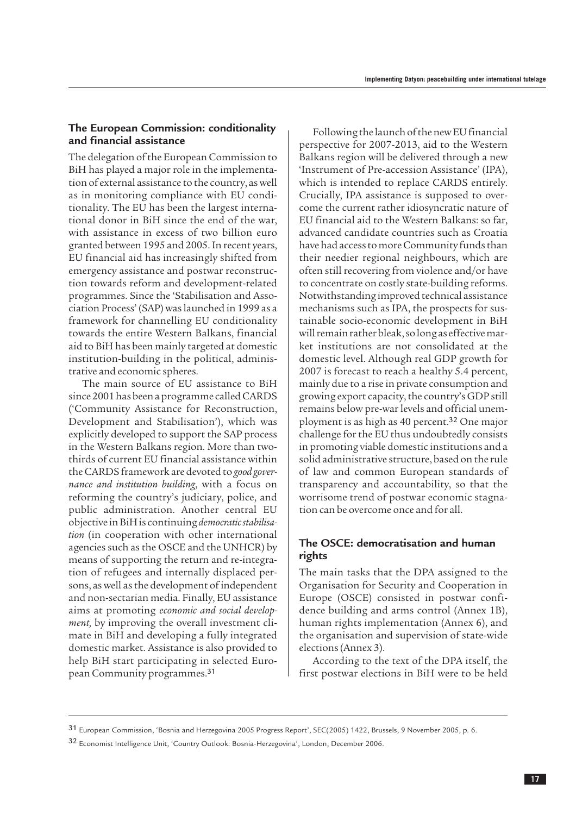#### **The European Commission: conditionality and financial assistance**

The delegation of the European Commission to BiH has played a major role in the implementation of external assistance to the country, as well as in monitoring compliance with EU conditionality. The EU has been the largest international donor in BiH since the end of the war, with assistance in excess of two billion euro granted between 1995 and 2005. In recent years, EU financial aid has increasingly shifted from emergency assistance and postwar reconstruction towards reform and development-related programmes. Since the 'Stabilisation and Association Process' (SAP) was launched in 1999 as a framework for channelling EU conditionality towards the entire Western Balkans, financial aid to BiH has been mainly targeted at domestic institution-building in the political, administrative and economic spheres.

The main source of EU assistance to BiH since 2001 has been a programme called CARDS ('Community Assistance for Reconstruction, Development and Stabilisation'), which was explicitly developed to support the SAP process in the Western Balkans region. More than twothirds of current EU financial assistance within the CARDS framework are devoted to *good governance and institution building*, with a focus on reforming the country's judiciary, police, and public administration. Another central EU objective in BiH is continuing *democratic stabilisation* (in cooperation with other international agencies such as the OSCE and the UNHCR) by means of supporting the return and re-integration of refugees and internally displaced persons, as well as the development of independent and non-sectarian media. Finally, EU assistance aims at promoting *economic and social development,* by improving the overall investment climate in BiH and developing a fully integrated domestic market. Assistance is also provided to help BiH start participating in selected European Community programmes.<sup>31</sup>

Following the launch of the new EU financial perspective for 2007-2013, aid to the Western Balkans region will be delivered through a new 'Instrument of Pre-accession Assistance' (IPA), which is intended to replace CARDS entirely. Crucially, IPA assistance is supposed to overcome the current rather idiosyncratic nature of EU financial aid to the Western Balkans: so far, advanced candidate countries such as Croatia have had access to more Community funds than their needier regional neighbours, which are often still recovering from violence and/or have to concentrate on costly state-building reforms. Notwithstanding improved technical assistance mechanisms such as IPA, the prospects for sustainable socio-economic development in BiH will remain rather bleak, so long as effective market institutions are not consolidated at the domestic level. Although real GDP growth for 2007 is forecast to reach a healthy 5.4 percent, mainly due to a rise in private consumption and growing export capacity, the country's GDP still remains below pre-war levels and official unemployment is as high as 40 percent.<sup>32</sup> One major challenge for the EU thus undoubtedly consists in promoting viable domestic institutions and a solid administrative structure, based on the rule of law and common European standards of transparency and accountability, so that the worrisome trend of postwar economic stagnation can be overcome once and for all.

#### **The OSCE: democratisation and human rights**

The main tasks that the DPA assigned to the Organisation for Security and Cooperation in Europe (OSCE) consisted in postwar confidence building and arms control (Annex 1B), human rights implementation (Annex 6), and the organisation and supervision of state-wide elections (Annex 3).

According to the text of the DPA itself, the first postwar elections in BiH were to be held

<sup>31</sup> European Commission, 'Bosnia and Herzegovina 2005 Progress Report', SEC(2005) 1422, Brussels, 9 November 2005, p. 6.

<sup>32</sup> Economist Intelligence Unit, 'Country Outlook: Bosnia-Herzegovina', London, December 2006.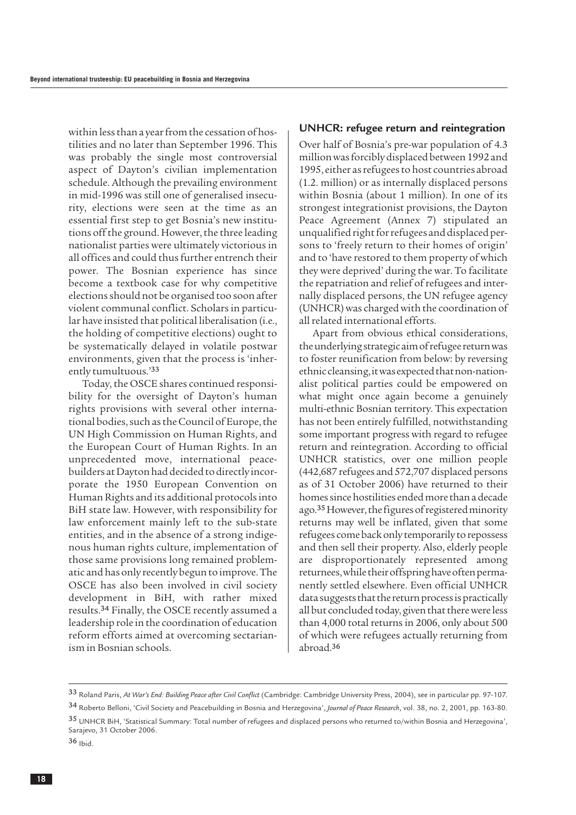within less than a year from the cessation of hostilities and no later than September 1996. This was probably the single most controversial aspect of Dayton's civilian implementation schedule. Although the prevailing environment in mid-1996 was still one of generalised insecurity, elections were seen at the time as an essential first step to get Bosnia's new institutions off the ground. However, the three leading nationalist parties were ultimately victorious in all offices and could thus further entrench their power. The Bosnian experience has since become a textbook case for why competitive elections should not be organised too soon after violent communal conflict. Scholars in particular have insisted that political liberalisation (i.e., the holding of competitive elections) ought to be systematically delayed in volatile postwar environments, given that the process is 'inherently tumultuous.'<sup>33</sup>

Today, the OSCE shares continued responsibility for the oversight of Dayton's human rights provisions with several other international bodies, such as the Council of Europe, the UN High Commission on Human Rights, and the European Court of Human Rights. In an unprecedented move, international peacebuilders at Dayton had decided to directly incorporate the 1950 European Convention on Human Rights and its additional protocols into BiH state law. However, with responsibility for law enforcement mainly left to the sub-state entities, and in the absence of a strong indigenous human rights culture, implementation of those same provisions long remained problematic and has only recently begun to improve. The OSCE has also been involved in civil society development in BiH, with rather mixed results.<sup>34</sup> Finally, the OSCE recently assumed a leadership role in the coordination of education reform efforts aimed at overcoming sectarianism in Bosnian schools.

#### **UNHCR: refugee return and reintegration**

Over half of Bosnia's pre-war population of 4.3 million was forcibly displaced between 1992 and 1995, either as refugees to host countries abroad (1.2. million) or as internally displaced persons within Bosnia (about 1 million). In one of its strongest integrationist provisions, the Dayton Peace Agreement (Annex 7) stipulated an unqualified right for refugees and displaced persons to 'freely return to their homes of origin' and to 'have restored to them property of which they were deprived' during the war. To facilitate the repatriation and relief of refugees and internally displaced persons, the UN refugee agency (UNHCR) was charged with the coordination of all related international efforts.

Apart from obvious ethical considerations, the underlying strategic aim of refugee return was to foster reunification from below: by reversing ethnic cleansing, it was expected that non-nationalist political parties could be empowered on what might once again become a genuinely multi-ethnic Bosnian territory. This expectation has not been entirely fulfilled, notwithstanding some important progress with regard to refugee return and reintegration. According to official UNHCR statistics, over one million people (442,687 refugees and 572,707 displaced persons as of 31 October 2006) have returned to their homes since hostilities ended more than a decade ago.35However, the figures of registered minority returns may well be inflated, given that some refugees come back only temporarily to repossess and then sell their property. Also, elderly people are disproportionately represented among returnees, while their offspring have often permanently settled elsewhere. Even official UNHCR data suggests that the return process is practically all but concluded today, given that there were less than 4,000 total returns in 2006, only about 500 of which were refugees actually returning from abroad.<sup>36</sup>

<sup>33</sup> Roland Paris, *At War's End: Building Peace after Civil Conflict* (Cambridge: Cambridge University Press, 2004), see in particular pp. 97-107.

<sup>34</sup> Roberto Belloni, 'Civil Society and Peacebuilding in Bosnia and Herzegovina', *Journal of Peace Research*, vol. 38, no. 2, 2001, pp. 163-80. 35 UNHCR BiH, 'Statistical Summary: Total number of refugees and displaced persons who returned to/within Bosnia and Herzegovina',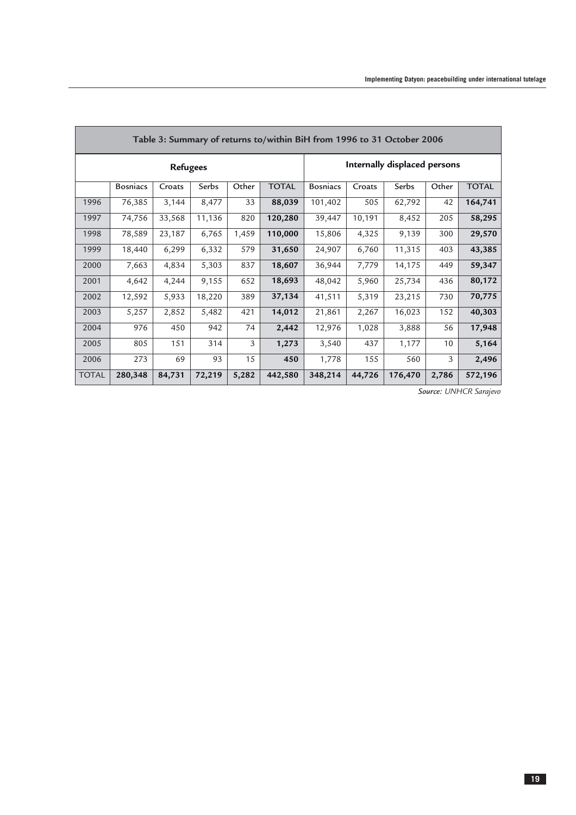| Table 3: Summary of returns to/within BiH from 1996 to 31 October 2006 |                 |        |        |       |              |                              |        |         |       |              |
|------------------------------------------------------------------------|-----------------|--------|--------|-------|--------------|------------------------------|--------|---------|-------|--------------|
| <b>Refugees</b>                                                        |                 |        |        |       |              | Internally displaced persons |        |         |       |              |
|                                                                        | <b>Bosniacs</b> | Croats | Serbs  | Other | <b>TOTAL</b> | <b>Bosniacs</b>              | Croats | Serbs   | Other | <b>TOTAL</b> |
| 1996                                                                   | 76,385          | 3,144  | 8,477  | 33    | 88,039       | 101,402                      | 505    | 62,792  | 42    | 164,741      |
| 1997                                                                   | 74,756          | 33,568 | 11,136 | 820   | 120,280      | 39,447                       | 10,191 | 8,452   | 205   | 58,295       |
| 1998                                                                   | 78,589          | 23,187 | 6,765  | 1,459 | 110,000      | 15,806                       | 4,325  | 9,139   | 300   | 29,570       |
| 1999                                                                   | 18,440          | 6,299  | 6,332  | 579   | 31,650       | 24,907                       | 6,760  | 11,315  | 403   | 43,385       |
| 2000                                                                   | 7,663           | 4,834  | 5,303  | 837   | 18,607       | 36,944                       | 7,779  | 14,175  | 449   | 59,347       |
| 2001                                                                   | 4,642           | 4,244  | 9,155  | 652   | 18,693       | 48,042                       | 5,960  | 25,734  | 436   | 80,172       |
| 2002                                                                   | 12,592          | 5,933  | 18,220 | 389   | 37,134       | 41,511                       | 5,319  | 23,215  | 730   | 70,775       |
| 2003                                                                   | 5,257           | 2,852  | 5,482  | 421   | 14,012       | 21,861                       | 2,267  | 16,023  | 152   | 40,303       |
| 2004                                                                   | 976             | 450    | 942    | 74    | 2,442        | 12,976                       | 1,028  | 3,888   | 56    | 17,948       |
| 2005                                                                   | 805             | 151    | 314    | 3     | 1,273        | 3,540                        | 437    | 1,177   | 10    | 5,164        |
| 2006                                                                   | 273             | 69     | 93     | 15    | 450          | 1,778                        | 155    | 560     | 3     | 2,496        |
| <b>TOTAL</b>                                                           | 280,348         | 84,731 | 72,219 | 5,282 | 442,580      | 348,214                      | 44,726 | 176,470 | 2,786 | 572,196      |

*Source: UNHCR Sarajevo*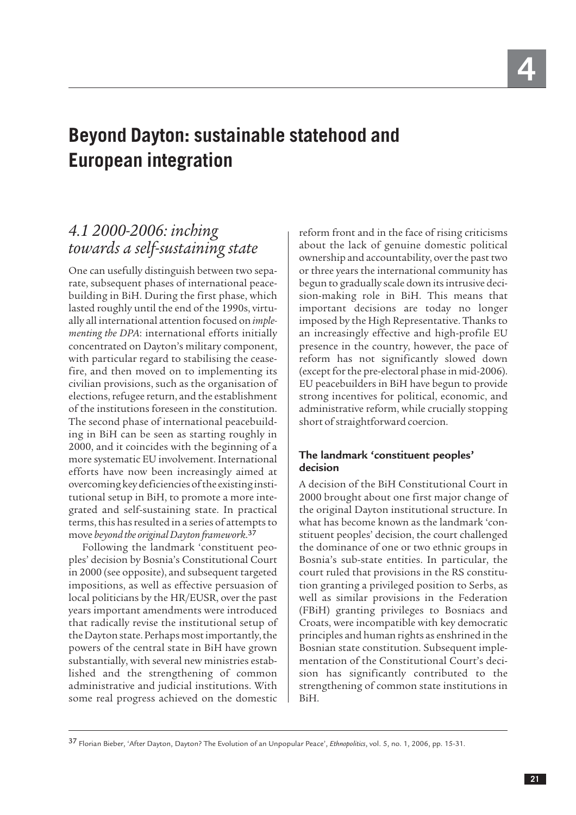## <span id="page-22-0"></span>**Beyond Dayton: sustainable statehood and European integration**

## *4.1 2000-2006: inching towards a self-sustaining state*

One can usefully distinguish between two separate, subsequent phases of international peacebuilding in BiH. During the first phase, which lasted roughly until the end of the 1990s, virtually all international attention focused on *implementing the DPA*: international efforts initially concentrated on Dayton's military component, with particular regard to stabilising the ceasefire, and then moved on to implementing its civilian provisions, such as the organisation of elections, refugee return, and the establishment of the institutions foreseen in the constitution. The second phase of international peacebuilding in BiH can be seen as starting roughly in 2000, and it coincides with the beginning of a more systematic EU involvement. International efforts have now been increasingly aimed at overcoming key deficiencies of the existing institutional setup in BiH, to promote a more integrated and self-sustaining state. In practical terms, this has resulted in a series of attempts to move *beyond the original Dayton framework*. 37

Following the landmark 'constituent peoples' decision by Bosnia's Constitutional Court in 2000 (see opposite), and subsequent targeted impositions, as well as effective persuasion of local politicians by the HR/EUSR, over the past years important amendments were introduced that radically revise the institutional setup of the Dayton state. Perhaps most importantly, the powers of the central state in BiH have grown substantially, with several new ministries established and the strengthening of common administrative and judicial institutions. With some real progress achieved on the domestic

reform front and in the face of rising criticisms about the lack of genuine domestic political ownership and accountability, over the past two or three years the international community has begun to gradually scale down its intrusive decision-making role in BiH. This means that important decisions are today no longer imposed by the High Representative. Thanks to an increasingly effective and high-profile EU presence in the country, however, the pace of reform has not significantly slowed down (except for the pre-electoral phase in mid-2006). EU peacebuilders in BiH have begun to provide strong incentives for political, economic, and administrative reform, while crucially stopping short of straightforward coercion.

#### **The landmark 'constituent peoples' decision**

A decision of the BiH Constitutional Court in 2000 brought about one first major change of the original Dayton institutional structure. In what has become known as the landmark 'constituent peoples' decision, the court challenged the dominance of one or two ethnic groups in Bosnia's sub-state entities. In particular, the court ruled that provisions in the RS constitution granting a privileged position to Serbs, as well as similar provisions in the Federation (FBiH) granting privileges to Bosniacs and Croats, were incompatible with key democratic principles and human rights as enshrined in the Bosnian state constitution. Subsequent implementation of the Constitutional Court's decision has significantly contributed to the strengthening of common state institutions in BiH.

<sup>37</sup> Florian Bieber, 'After Dayton, Dayton? The Evolution of an Unpopular Peace', *Ethnopolitics*, vol. 5, no. 1, 2006, pp. 15-31.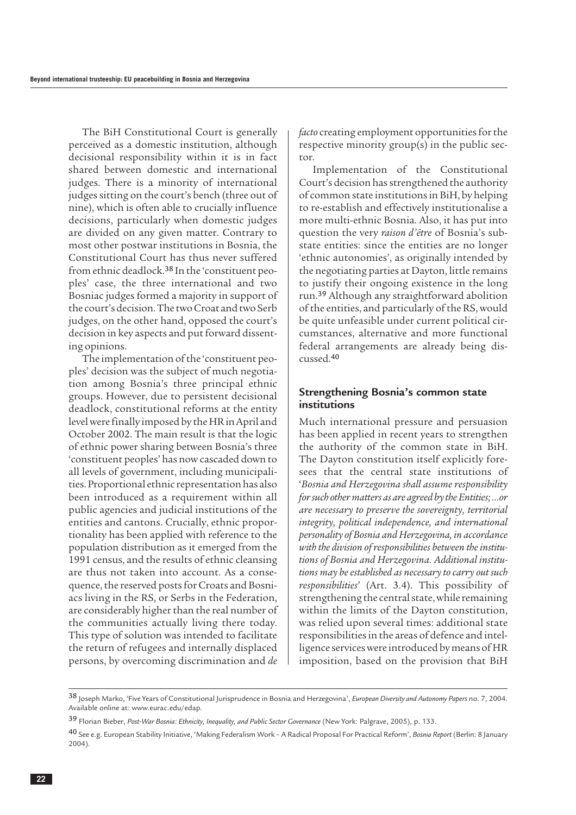The BiH Constitutional Court is generally perceived as a domestic institution, although decisional responsibility within it is in fact shared between domestic and international judges. There is a minority of international judges sitting on the court's bench (three out of nine), which is often able to crucially influence decisions, particularly when domestic judges are divided on any given matter. Contrary to most other postwar institutions in Bosnia, the Constitutional Court has thus never suffered from ethnic deadlock.<sup>38</sup> In the 'constituent peoples' case, the three international and two Bosniac judges formed a majority in support of the court's decision. The two Croat and two Serb judges, on the other hand, opposed the court's decision in key aspects and put forward dissenting opinions.

The implementation of the 'constituent peoples' decision was the subject of much negotiation among Bosnia's three principal ethnic groups. However, due to persistent decisional deadlock, constitutional reforms at the entity level were finally imposed by the HR in April and October 2002. The main result is that the logic of ethnic power sharing between Bosnia's three 'constituent peoples' has now cascaded down to all levels of government, including municipalities. Proportional ethnic representation has also been introduced as a requirement within all public agencies and judicial institutions of the entities and cantons. Crucially, ethnic proportionality has been applied with reference to the population distribution as it emerged from the 1991 census, and the results of ethnic cleansing are thus not taken into account. As a consequence, the reserved posts for Croats and Bosniacs living in the RS, or Serbs in the Federation, are considerably higher than the real number of the communities actually living there today. This type of solution was intended to facilitate the return of refugees and internally displaced persons, by overcoming discrimination and *de*

*facto* creating employment opportunities for the respective minority group(s) in the public sector.

Implementation of the Constitutional Court's decision has strengthened the authority of common state institutions in BiH, by helping to re-establish and effectively institutionalise a more multi-ethnic Bosnia. Also, it has put into question the very *raison d'être* of Bosnia's substate entities: since the entities are no longer 'ethnic autonomies', as originally intended by the negotiating parties at Dayton, little remains to justify their ongoing existence in the long run.<sup>39</sup> Although any straightforward abolition of the entities, and particularly of the RS, would be quite unfeasible under current political circumstances, alternative and more functional federal arrangements are already being discussed.<sup>40</sup>

#### **Strengthening Bosnia's common state institutions**

Much international pressure and persuasion has been applied in recent years to strengthen the authority of the common state in BiH. The Dayton constitution itself explicitly foresees that the central state institutions of '*Bosnia and Herzegovina shall assume responsibility for such other matters as are agreed by the Entities; …or are necessary to preserve the sovereignty, territorial integrity, political independence, and international personality of Bosnia and Herzegovina, in accordance with the division of responsibilities between the institutions of Bosnia and Herzegovina. Additional institutions may be established as necessary to carry out such responsibilities*' (Art. 3.4). This possibility of strengthening the central state, while remaining within the limits of the Dayton constitution, was relied upon several times: additional state responsibilities in the areas of defence and intelligence services were introduced by means of HR imposition, based on the provision that BiH

<sup>38</sup> Joseph Marko, 'Five Years of Constitutional Jurisprudence in Bosnia and Herzegovina', *European Diversity and Autonomy Papers* no. 7, 2004. Available online at: www.eurac.edu/edap.

<sup>39</sup> Florian Bieber, *Post-War Bosnia: Ethnicity, Inequality, and Public Sector Governance* (New York: Palgrave, 2005), p. 133.

<sup>40</sup> See e.g. European Stability Initiative, 'Making Federalism Work – A Radical Proposal For Practical Reform', *Bosnia Report* (Berlin: 8 January 2004).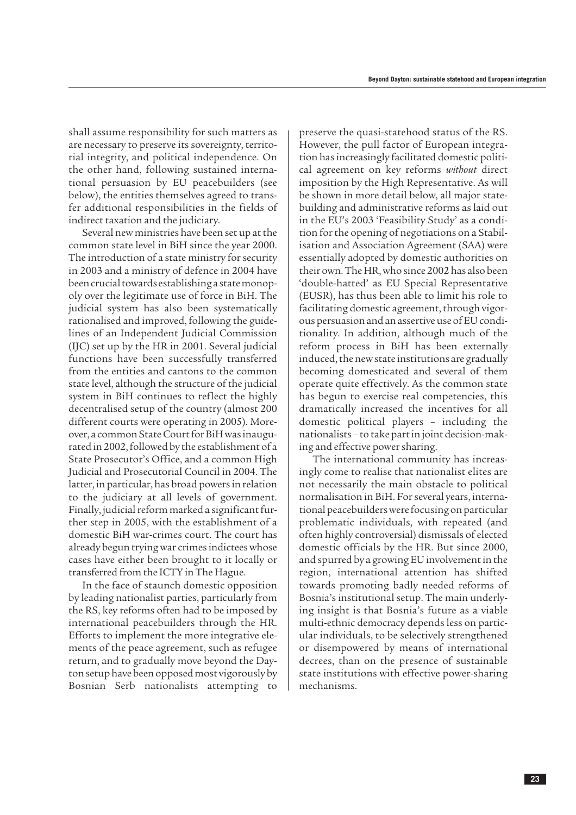shall assume responsibility for such matters as are necessary to preserve its sovereignty, territorial integrity, and political independence. On the other hand, following sustained international persuasion by EU peacebuilders (see below), the entities themselves agreed to transfer additional responsibilities in the fields of indirect taxation and the judiciary.

Several new ministries have been set up at the common state level in BiH since the year 2000. The introduction of a state ministry for security in 2003 and a ministry of defence in 2004 have been crucial towards establishing a state monopoly over the legitimate use of force in BiH. The judicial system has also been systematically rationalised and improved, following the guidelines of an Independent Judicial Commission (IJC) set up by the HR in 2001. Several judicial functions have been successfully transferred from the entities and cantons to the common state level, although the structure of the judicial system in BiH continues to reflect the highly decentralised setup of the country (almost 200 different courts were operating in 2005). Moreover, a common State Court for BiH was inaugurated in 2002, followed by the establishment of a State Prosecutor's Office, and a common High Judicial and Prosecutorial Council in 2004. The latter, in particular, has broad powers in relation to the judiciary at all levels of government. Finally, judicial reform marked a significant further step in 2005, with the establishment of a domestic BiH war-crimes court. The court has already begun trying war crimes indictees whose cases have either been brought to it locally or transferred from the ICTY in The Hague.

In the face of staunch domestic opposition by leading nationalist parties, particularly from the RS, key reforms often had to be imposed by international peacebuilders through the HR. Efforts to implement the more integrative elements of the peace agreement, such as refugee return, and to gradually move beyond the Dayton setup have been opposed most vigorously by Bosnian Serb nationalists attempting to

preserve the quasi-statehood status of the RS. However, the pull factor of European integration has increasingly facilitated domestic political agreement on key reforms *without* direct imposition by the High Representative. As will be shown in more detail below, all major statebuilding and administrative reforms as laid out in the EU's 2003 'Feasibility Study' as a condition for the opening of negotiations on a Stabilisation and Association Agreement (SAA) were essentially adopted by domestic authorities on their own. The HR, who since 2002 has also been 'double-hatted' as EU Special Representative (EUSR), has thus been able to limit his role to facilitating domestic agreement, through vigorous persuasion and an assertive use of EU conditionality. In addition, although much of the reform process in BiH has been externally induced, the new state institutions are gradually becoming domesticated and several of them operate quite effectively. As the common state has begun to exercise real competencies, this dramatically increased the incentives for all domestic political players – including the nationalists – to take part in joint decision-making and effective power sharing.

The international community has increasingly come to realise that nationalist elites are not necessarily the main obstacle to political normalisation in BiH. For several years, international peacebuilders were focusing on particular problematic individuals, with repeated (and often highly controversial) dismissals of elected domestic officials by the HR. But since 2000, and spurred by a growing EU involvement in the region, international attention has shifted towards promoting badly needed reforms of Bosnia's institutional setup. The main underlying insight is that Bosnia's future as a viable multi-ethnic democracy depends less on particular individuals, to be selectively strengthened or disempowered by means of international decrees, than on the presence of sustainable state institutions with effective power-sharing mechanisms.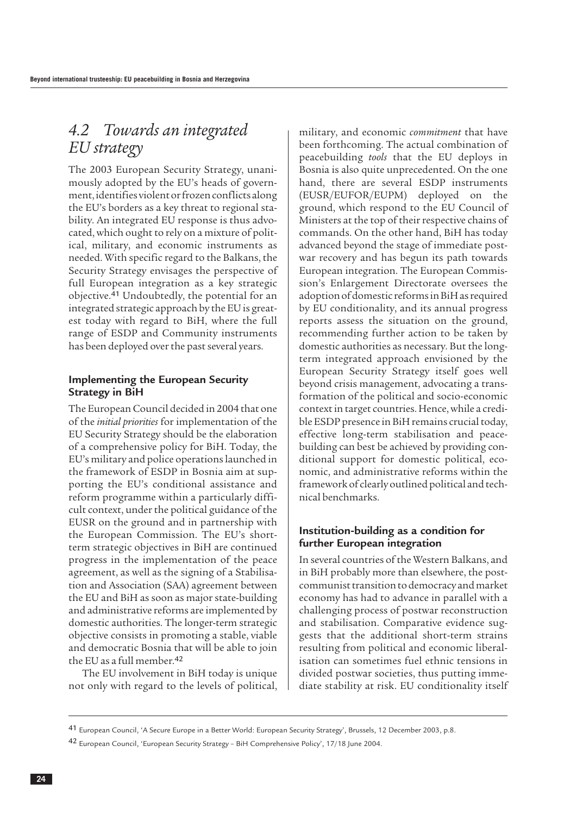## <span id="page-25-0"></span>*4.2 Towards an integrated EU strategy*

The 2003 European Security Strategy, unanimously adopted by the EU's heads of government, identifies violent or frozen conflicts along the EU's borders as a key threat to regional stability. An integrated EU response is thus advocated, which ought to rely on a mixture of political, military, and economic instruments as needed. With specific regard to the Balkans, the Security Strategy envisages the perspective of full European integration as a key strategic objective.<sup>41</sup> Undoubtedly, the potential for an integrated strategic approach by the EU is greatest today with regard to BiH, where the full range of ESDP and Community instruments has been deployed over the past several years.

#### **Implementing the European Security Strategy in BiH**

The European Council decided in 2004 that one of the *initial priorities* for implementation of the EU Security Strategy should be the elaboration of a comprehensive policy for BiH. Today, the EU's military and police operations launched in the framework of ESDP in Bosnia aim at supporting the EU's conditional assistance and reform programme within a particularly difficult context, under the political guidance of the EUSR on the ground and in partnership with the European Commission. The EU's shortterm strategic objectives in BiH are continued progress in the implementation of the peace agreement, as well as the signing of a Stabilisation and Association (SAA) agreement between the EU and BiH as soon as major state-building and administrative reforms are implemented by domestic authorities. The longer-term strategic objective consists in promoting a stable, viable and democratic Bosnia that will be able to join the EU as a full member.<sup>42</sup>

The EU involvement in BiH today is unique not only with regard to the levels of political, military, and economic *commitment* that have been forthcoming. The actual combination of peacebuilding *tools* that the EU deploys in Bosnia is also quite unprecedented. On the one hand, there are several ESDP instruments (EUSR/EUFOR/EUPM) deployed on the ground, which respond to the EU Council of Ministers at the top of their respective chains of commands. On the other hand, BiH has today advanced beyond the stage of immediate postwar recovery and has begun its path towards European integration. The European Commission's Enlargement Directorate oversees the adoption of domestic reforms in BiH as required by EU conditionality, and its annual progress reports assess the situation on the ground, recommending further action to be taken by domestic authorities as necessary. But the longterm integrated approach envisioned by the European Security Strategy itself goes well beyond crisis management, advocating a transformation of the political and socio-economic context in target countries. Hence, while a credible ESDP presence in BiH remains crucial today, effective long-term stabilisation and peacebuilding can best be achieved by providing conditional support for domestic political, economic, and administrative reforms within the framework of clearly outlined political and technical benchmarks.

#### **Institution-building as a condition for further European integration**

In several countries of the Western Balkans, and in BiH probably more than elsewhere, the postcommunist transition to democracy and market economy has had to advance in parallel with a challenging process of postwar reconstruction and stabilisation. Comparative evidence suggests that the additional short-term strains resulting from political and economic liberalisation can sometimes fuel ethnic tensions in divided postwar societies, thus putting immediate stability at risk. EU conditionality itself

<sup>41</sup> European Council, 'A Secure Europe in a Better World: European Security Strategy', Brussels, 12 December 2003, p.8.

<sup>42</sup> European Council, 'European Security Strategy – BiH Comprehensive Policy', 17/18 June 2004.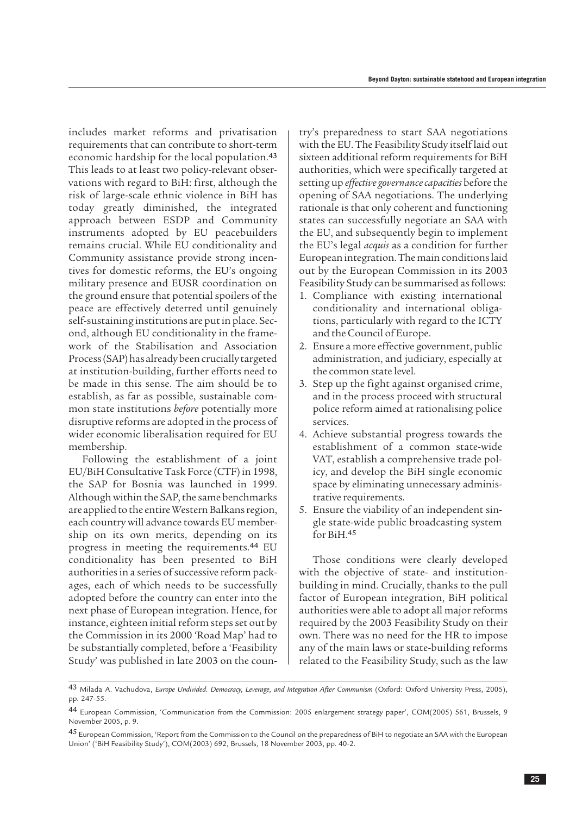includes market reforms and privatisation requirements that can contribute to short-term economic hardship for the local population.<sup>43</sup> This leads to at least two policy-relevant observations with regard to BiH: first, although the risk of large-scale ethnic violence in BiH has today greatly diminished, the integrated approach between ESDP and Community instruments adopted by EU peacebuilders remains crucial. While EU conditionality and Community assistance provide strong incentives for domestic reforms, the EU's ongoing military presence and EUSR coordination on the ground ensure that potential spoilers of the peace are effectively deterred until genuinely self-sustaining institutions are put in place. Second, although EU conditionality in the framework of the Stabilisation and Association Process (SAP) has already been crucially targeted at institution-building, further efforts need to be made in this sense. The aim should be to establish, as far as possible, sustainable common state institutions *before* potentially more disruptive reforms are adopted in the process of wider economic liberalisation required for EU membership.

Following the establishment of a joint EU/BiH Consultative Task Force (CTF) in 1998, the SAP for Bosnia was launched in 1999. Although within the SAP, the same benchmarks are applied to the entire Western Balkans region, each country will advance towards EU membership on its own merits, depending on its progress in meeting the requirements.<sup>44</sup> EU conditionality has been presented to BiH authorities in a series of successive reform packages, each of which needs to be successfully adopted before the country can enter into the next phase of European integration. Hence, for instance, eighteen initial reform steps set out by the Commission in its 2000 'Road Map' had to be substantially completed, before a 'Feasibility Study' was published in late 2003 on the country's preparedness to start SAA negotiations with the EU. The Feasibility Study itself laid out sixteen additional reform requirements for BiH authorities, which were specifically targeted at setting up *effective governance capacities* before the opening of SAA negotiations. The underlying rationale is that only coherent and functioning states can successfully negotiate an SAA with the EU, and subsequently begin to implement the EU's legal *acquis* as a condition for further European integration. The main conditions laid out by the European Commission in its 2003 Feasibility Study can be summarised as follows:

- 1. Compliance with existing international conditionality and international obligations, particularly with regard to the ICTY and the Council of Europe.
- 2. Ensure a more effective government, public administration, and judiciary, especially at the common state level.
- 3. Step up the fight against organised crime, and in the process proceed with structural police reform aimed at rationalising police services.
- 4. Achieve substantial progress towards the establishment of a common state-wide VAT, establish a comprehensive trade policy, and develop the BiH single economic space by eliminating unnecessary administrative requirements.
- 5. Ensure the viability of an independent single state-wide public broadcasting system for BiH.<sup>45</sup>

Those conditions were clearly developed with the objective of state- and institutionbuilding in mind. Crucially, thanks to the pull factor of European integration, BiH political authorities were able to adopt all major reforms required by the 2003 Feasibility Study on their own. There was no need for the HR to impose any of the main laws or state-building reforms related to the Feasibility Study, such as the law

<sup>43</sup> Milada A. Vachudova, *Europe Undivided. Democracy, Leverage, and Integration After Communism* (Oxford: Oxford University Press, 2005), pp. 247-55.

<sup>44</sup> European Commission, 'Communication from the Commission: 2005 enlargement strategy paper', COM(2005) 561, Brussels, 9 November 2005, p. 9.

<sup>45</sup> European Commission, 'Report from the Commission to the Council on the preparedness of BiH to negotiate an SAA with the European Union' ('BiH Feasibility Study'), COM(2003) 692, Brussels, 18 November 2003, pp. 40-2.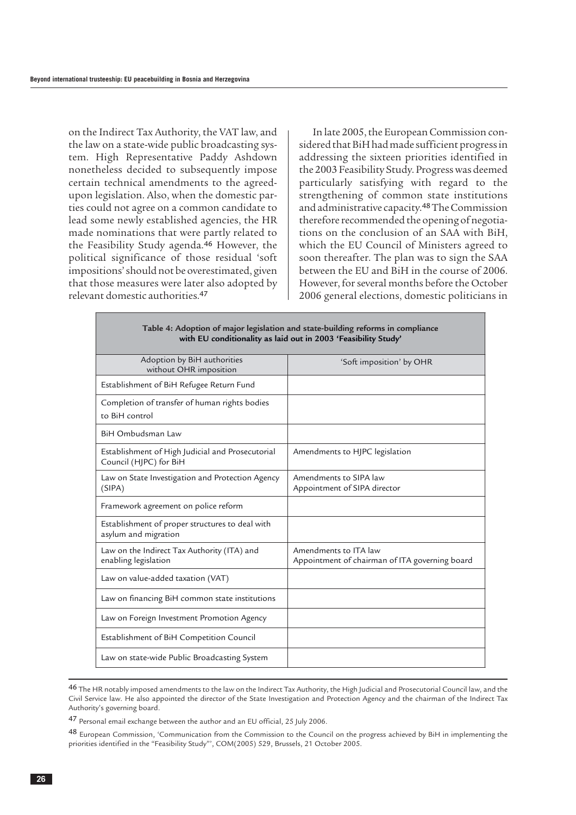on the Indirect Tax Authority, the VAT law, and the law on a state-wide public broadcasting system. High Representative Paddy Ashdown nonetheless decided to subsequently impose certain technical amendments to the agreedupon legislation. Also, when the domestic parties could not agree on a common candidate to lead some newly established agencies, the HR made nominations that were partly related to the Feasibility Study agenda.<sup>46</sup> However, the political significance of those residual 'soft impositions' should not be overestimated, given that those measures were later also adopted by relevant domestic authorities.<sup>47</sup>

In late 2005, the European Commission considered that BiH had made sufficient progress in addressing the sixteen priorities identified in the 2003 Feasibility Study. Progress was deemed particularly satisfying with regard to the strengthening of common state institutions and administrative capacity.48The Commission therefore recommended the opening of negotiations on the conclusion of an SAA with BiH, which the EU Council of Ministers agreed to soon thereafter. The plan was to sign the SAA between the EU and BiH in the course of 2006. However, for several months before the October 2006 general elections, domestic politicians in

| Table 4: Adoption of major legislation and state-building reforms in compliance<br>with EU conditionality as laid out in 2003 'Feasibility Study' |                                                                         |  |  |  |  |
|---------------------------------------------------------------------------------------------------------------------------------------------------|-------------------------------------------------------------------------|--|--|--|--|
| Adoption by BiH authorities<br>without OHR imposition                                                                                             | 'Soft imposition' by OHR                                                |  |  |  |  |
| Establishment of BiH Refugee Return Fund                                                                                                          |                                                                         |  |  |  |  |
| Completion of transfer of human rights bodies<br>to BiH control                                                                                   |                                                                         |  |  |  |  |
| BiH Ombudsman Law                                                                                                                                 |                                                                         |  |  |  |  |
| Establishment of High Judicial and Prosecutorial<br>Council (HJPC) for BiH                                                                        | Amendments to HJPC legislation                                          |  |  |  |  |
| Law on State Investigation and Protection Agency<br>(SIPA)                                                                                        | Amendments to SIPA law<br>Appointment of SIPA director                  |  |  |  |  |
| Framework agreement on police reform                                                                                                              |                                                                         |  |  |  |  |
| Establishment of proper structures to deal with<br>asylum and migration                                                                           |                                                                         |  |  |  |  |
| Law on the Indirect Tax Authority (ITA) and<br>enabling legislation                                                                               | Amendments to ITA law<br>Appointment of chairman of ITA governing board |  |  |  |  |
| Law on value-added taxation (VAT)                                                                                                                 |                                                                         |  |  |  |  |
| Law on financing BiH common state institutions                                                                                                    |                                                                         |  |  |  |  |
| Law on Foreign Investment Promotion Agency                                                                                                        |                                                                         |  |  |  |  |
| Establishment of BiH Competition Council                                                                                                          |                                                                         |  |  |  |  |
| Law on state-wide Public Broadcasting System                                                                                                      |                                                                         |  |  |  |  |

<sup>46</sup> The HR notably imposed amendments to the law on the Indirect Tax Authority, the High Judicial and Prosecutorial Council law, and the Civil Service law. He also appointed the director of the State Investigation and Protection Agency and the chairman of the Indirect Tax Authority's governing board.

<sup>47</sup> Personal email exchange between the author and an EU official, 25 July 2006.

<sup>48</sup> European Commission, 'Communication from the Commission to the Council on the progress achieved by BiH in implementing the priorities identified in the "Feasibility Study"', COM(2005) 529, Brussels, 21 October 2005.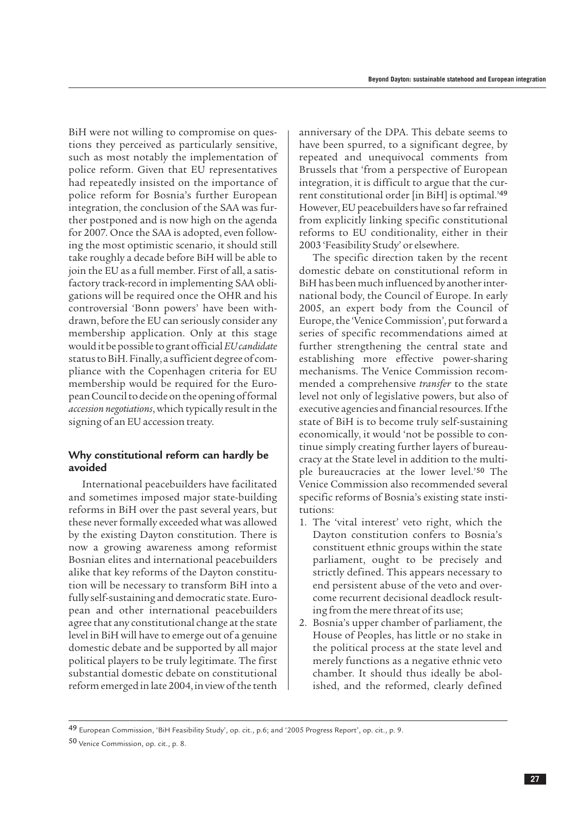BiH were not willing to compromise on questions they perceived as particularly sensitive, such as most notably the implementation of police reform. Given that EU representatives had repeatedly insisted on the importance of police reform for Bosnia's further European integration, the conclusion of the SAA was further postponed and is now high on the agenda for 2007. Once the SAA is adopted, even following the most optimistic scenario, it should still take roughly a decade before BiH will be able to join the EU as a full member. First of all, a satisfactory track-record in implementing SAA obligations will be required once the OHR and his controversial 'Bonn powers' have been withdrawn, before the EU can seriously consider any membership application. Only at this stage would it be possible to grant official *EU candidate* status to BiH. Finally, a sufficient degree of compliance with the Copenhagen criteria for EU membership would be required for the European Council to decide on the opening of formal *accession negotiations*, which typically result in the signing of an EU accession treaty.

#### **Why constitutional reform can hardly be avoided**

International peacebuilders have facilitated and sometimes imposed major state-building reforms in BiH over the past several years, but these never formally exceeded what was allowed by the existing Dayton constitution. There is now a growing awareness among reformist Bosnian elites and international peacebuilders alike that key reforms of the Dayton constitution will be necessary to transform BiH into a fully self-sustaining and democratic state. European and other international peacebuilders agree that any constitutional change at the state level in BiH will have to emerge out of a genuine domestic debate and be supported by all major political players to be truly legitimate. The first substantial domestic debate on constitutional reform emerged in late 2004, in view of the tenth anniversary of the DPA. This debate seems to have been spurred, to a significant degree, by repeated and unequivocal comments from Brussels that 'from a perspective of European integration, it is difficult to argue that the current constitutional order [in BiH] is optimal.'<sup>49</sup> However, EU peacebuilders have so far refrained from explicitly linking specific constitutional reforms to EU conditionality, either in their 2003 'Feasibility Study' or elsewhere.

The specific direction taken by the recent domestic debate on constitutional reform in BiH has been much influenced by another international body, the Council of Europe. In early 2005, an expert body from the Council of Europe, the 'Venice Commission', put forward a series of specific recommendations aimed at further strengthening the central state and establishing more effective power-sharing mechanisms. The Venice Commission recommended a comprehensive *transfer* to the state level not only of legislative powers, but also of executive agencies and financial resources. If the state of BiH is to become truly self-sustaining economically, it would 'not be possible to continue simply creating further layers of bureaucracy at the State level in addition to the multiple bureaucracies at the lower level.'<sup>50</sup> The Venice Commission also recommended several specific reforms of Bosnia's existing state institutions:

- 1. The 'vital interest' veto right, which the Dayton constitution confers to Bosnia's constituent ethnic groups within the state parliament, ought to be precisely and strictly defined. This appears necessary to end persistent abuse of the veto and overcome recurrent decisional deadlock resulting from the mere threat of its use;
- 2. Bosnia's upper chamber of parliament, the House of Peoples, has little or no stake in the political process at the state level and merely functions as a negative ethnic veto chamber. It should thus ideally be abolished, and the reformed, clearly defined

<sup>49</sup> European Commission, 'BiH Feasibility Study', op. cit., p.6; and '2005 Progress Report', op. cit., p. 9.

<sup>50</sup> Venice Commission, op. cit., p. 8.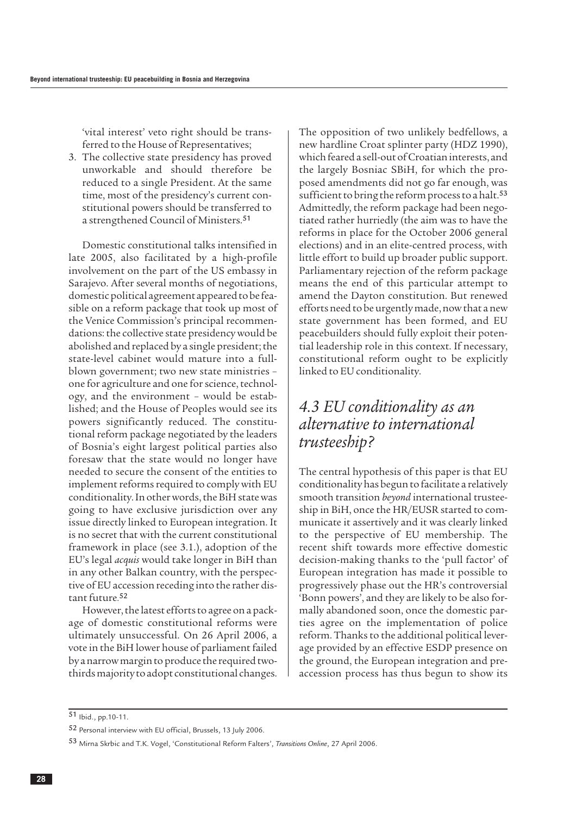<span id="page-29-0"></span>'vital interest' veto right should be transferred to the House of Representatives;

3. The collective state presidency has proved unworkable and should therefore be reduced to a single President. At the same time, most of the presidency's current constitutional powers should be transferred to a strengthened Council of Ministers.<sup>51</sup>

Domestic constitutional talks intensified in late 2005, also facilitated by a high-profile involvement on the part of the US embassy in Sarajevo. After several months of negotiations, domestic political agreement appeared to be feasible on a reform package that took up most of the Venice Commission's principal recommendations: the collective state presidency would be abolished and replaced by a single president; the state-level cabinet would mature into a fullblown government; two new state ministries – one for agriculture and one for science, technology, and the environment – would be established; and the House of Peoples would see its powers significantly reduced. The constitutional reform package negotiated by the leaders of Bosnia's eight largest political parties also foresaw that the state would no longer have needed to secure the consent of the entities to implement reforms required to comply with EU conditionality. In other words, the BiH state was going to have exclusive jurisdiction over any issue directly linked to European integration. It is no secret that with the current constitutional framework in place (see 3.1.), adoption of the EU's legal *acquis* would take longer in BiH than in any other Balkan country, with the perspective of EU accession receding into the rather distant future. 52

However, the latest efforts to agree on a package of domestic constitutional reforms were ultimately unsuccessful. On 26 April 2006, a vote in the BiH lower house of parliament failed by a narrow margin to produce the required twothirds majority to adopt constitutional changes. The opposition of two unlikely bedfellows, a new hardline Croat splinter party (HDZ 1990), which feared a sell-out of Croatian interests, and the largely Bosniac SBiH, for which the proposed amendments did not go far enough, was sufficient to bring the reform process to a halt.<sup>53</sup> Admittedly, the reform package had been negotiated rather hurriedly (the aim was to have the reforms in place for the October 2006 general elections) and in an elite-centred process, with little effort to build up broader public support. Parliamentary rejection of the reform package means the end of this particular attempt to amend the Dayton constitution. But renewed efforts need to be urgently made, now that a new state government has been formed, and EU peacebuilders should fully exploit their potential leadership role in this context. If necessary, constitutional reform ought to be explicitly linked to EU conditionality.

### *4.3 EU conditionality as an alternative to international trusteeship?*

The central hypothesis of this paper is that EU conditionality has begun to facilitate a relatively smooth transition *beyond* international trusteeship in BiH, once the HR/EUSR started to communicate it assertively and it was clearly linked to the perspective of EU membership. The recent shift towards more effective domestic decision-making thanks to the 'pull factor' of European integration has made it possible to progressively phase out the HR's controversial 'Bonn powers', and they are likely to be also formally abandoned soon, once the domestic parties agree on the implementation of police reform. Thanks to the additional political leverage provided by an effective ESDP presence on the ground, the European integration and preaccession process has thus begun to show its

51 Ibid., pp.10-11.

<sup>52</sup> Personal interview with EU official, Brussels, 13 July 2006.

<sup>53</sup> Mirna Skrbic and T.K. Vogel, 'Constitutional Reform Falters', *Transitions Online*, 27 April 2006.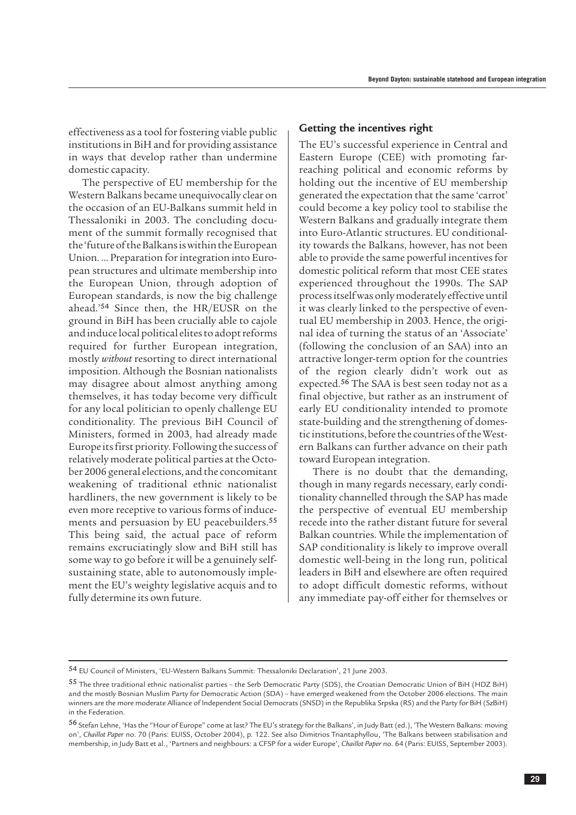effectiveness as a tool for fostering viable public institutions in BiH and for providing assistance in ways that develop rather than undermine domestic capacity.

The perspective of EU membership for the Western Balkans became unequivocally clear on the occasion of an EU-Balkans summit held in Thessaloniki in 2003. The concluding document of the summit formally recognised that the 'future of the Balkans is within the European Union. … Preparation for integration into European structures and ultimate membership into the European Union, through adoption of European standards, is now the big challenge ahead.'<sup>54</sup> Since then, the HR/EUSR on the ground in BiH has been crucially able to cajole and induce local political elites to adopt reforms required for further European integration, mostly *without* resorting to direct international imposition. Although the Bosnian nationalists may disagree about almost anything among themselves, it has today become very difficult for any local politician to openly challenge EU conditionality. The previous BiH Council of Ministers, formed in 2003, had already made Europe its first priority. Following the success of relatively moderate political parties at the October 2006 general elections, and the concomitant weakening of traditional ethnic nationalist hardliners, the new government is likely to be even more receptive to various forms of inducements and persuasion by EU peacebuilders.<sup>55</sup> This being said, the actual pace of reform remains excruciatingly slow and BiH still has some way to go before it will be a genuinely selfsustaining state, able to autonomously implement the EU's weighty legislative acquis and to fully determine its own future.

#### **Getting the incentives right**

The EU's successful experience in Central and Eastern Europe (CEE) with promoting farreaching political and economic reforms by holding out the incentive of EU membership generated the expectation that the same 'carrot' could become a key policy tool to stabilise the Western Balkans and gradually integrate them into Euro-Atlantic structures. EU conditionality towards the Balkans, however, has not been able to provide the same powerful incentives for domestic political reform that most CEE states experienced throughout the 1990s. The SAP process itself was only moderately effective until it was clearly linked to the perspective of eventual EU membership in 2003. Hence, the original idea of turning the status of an 'Associate' (following the conclusion of an SAA) into an attractive longer-term option for the countries of the region clearly didn't work out as expected.<sup>56</sup> The SAA is best seen today not as a final objective, but rather as an instrument of early EU conditionality intended to promote state-building and the strengthening of domestic institutions, before the countries of the Western Balkans can further advance on their path toward European integration.

There is no doubt that the demanding, though in many regards necessary, early conditionality channelled through the SAP has made the perspective of eventual EU membership recede into the rather distant future for several Balkan countries. While the implementation of SAP conditionality is likely to improve overall domestic well-being in the long run, political leaders in BiH and elsewhere are often required to adopt difficult domestic reforms, without any immediate pay-off either for themselves or

<sup>54</sup> EU Council of Ministers, 'EU-Western Balkans Summit: Thessaloniki Declaration', 21 June 2003.

<sup>55</sup> The three traditional ethnic nationalist parties – the Serb Democratic Party (SDS), the Croatian Democratic Union of BiH (HDZ BiH) and the mostly Bosnian Muslim Party for Democratic Action (SDA) – have emerged weakened from the October 2006 elections. The main winners are the more moderate Alliance of Independent Social Democrats (SNSD) in the Republika Srpska (RS) and the Party for BiH (SzBiH) in the Federation.

<sup>56</sup> Stefan Lehne, 'Has the "Hour of Europe" come at last? The EU's strategy for the Balkans', in Judy Batt (ed.), 'The Western Balkans: moving on', *Chaillot Pape*r no. 70 (Paris: EUISS, October 2004), p. 122. See also Dimitrios Triantaphyllou, 'The Balkans between stabilisation and membership, in Judy Batt et al., 'Partners and neighbours: a CFSP for a wider Europe', *Chaillot Paper* no. 64 (Paris: EUISS, September 2003).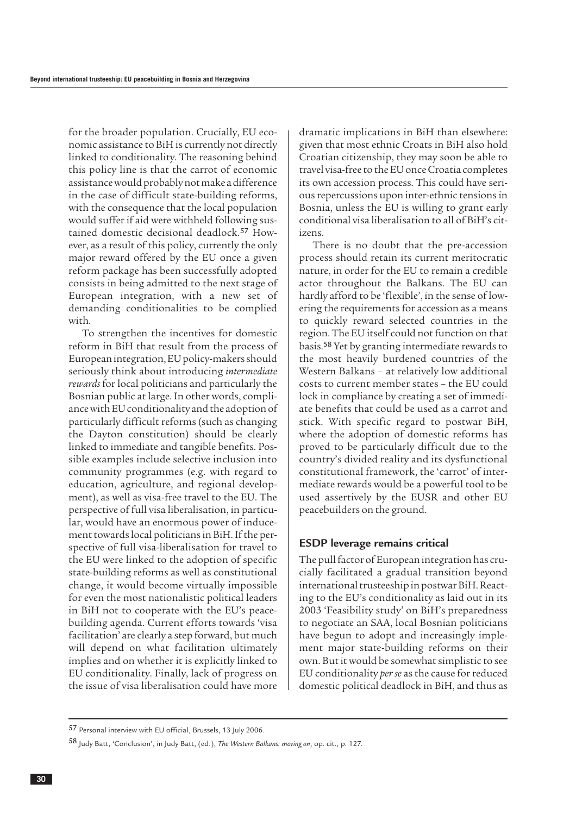for the broader population. Crucially, EU economic assistance to BiH is currently not directly linked to conditionality. The reasoning behind this policy line is that the carrot of economic assistance would probably not make a difference in the case of difficult state-building reforms, with the consequence that the local population would suffer if aid were withheld following sustained domestic decisional deadlock.<sup>57</sup> However, as a result of this policy, currently the only major reward offered by the EU once a given reform package has been successfully adopted consists in being admitted to the next stage of European integration, with a new set of demanding conditionalities to be complied with.

To strengthen the incentives for domestic reform in BiH that result from the process of European integration, EU policy-makers should seriously think about introducing *intermediate rewards* for local politicians and particularly the Bosnian public at large. In other words, compliance with EU conditionality and the adoption of particularly difficult reforms (such as changing the Dayton constitution) should be clearly linked to immediate and tangible benefits. Possible examples include selective inclusion into community programmes (e.g. with regard to education, agriculture, and regional development), as well as visa-free travel to the EU. The perspective of full visa liberalisation, in particular, would have an enormous power of inducement towards local politicians in BiH. If the perspective of full visa-liberalisation for travel to the EU were linked to the adoption of specific state-building reforms as well as constitutional change, it would become virtually impossible for even the most nationalistic political leaders in BiH not to cooperate with the EU's peacebuilding agenda. Current efforts towards 'visa facilitation' are clearly a step forward, but much will depend on what facilitation ultimately implies and on whether it is explicitly linked to EU conditionality. Finally, lack of progress on the issue of visa liberalisation could have more

dramatic implications in BiH than elsewhere: given that most ethnic Croats in BiH also hold Croatian citizenship, they may soon be able to travel visa-free to the EU once Croatia completes its own accession process. This could have serious repercussions upon inter-ethnic tensions in Bosnia, unless the EU is willing to grant early conditional visa liberalisation to all of BiH's citizens.

There is no doubt that the pre-accession process should retain its current meritocratic nature, in order for the EU to remain a credible actor throughout the Balkans. The EU can hardly afford to be 'flexible', in the sense of lowering the requirements for accession as a means to quickly reward selected countries in the region. The EU itself could not function on that basis.<sup>58</sup> Yet by granting intermediate rewards to the most heavily burdened countries of the Western Balkans – at relatively low additional costs to current member states – the EU could lock in compliance by creating a set of immediate benefits that could be used as a carrot and stick. With specific regard to postwar BiH, where the adoption of domestic reforms has proved to be particularly difficult due to the country's divided reality and its dysfunctional constitutional framework, the 'carrot' of intermediate rewards would be a powerful tool to be used assertively by the EUSR and other EU peacebuilders on the ground.

#### **ESDP leverage remains critical**

The pull factor of European integration has crucially facilitated a gradual transition beyond international trusteeship in postwar BiH. Reacting to the EU's conditionality as laid out in its 2003 'Feasibility study' on BiH's preparedness to negotiate an SAA, local Bosnian politicians have begun to adopt and increasingly implement major state-building reforms on their own. But it would be somewhat simplistic to see EU conditionality *per se* as the cause for reduced domestic political deadlock in BiH, and thus as

<sup>57</sup> Personal interview with EU official, Brussels, 13 July 2006.

<sup>58</sup> Judy Batt, 'Conclusion', in Judy Batt, (ed.), *The Western Balkans: moving on*, op. cit., p. 127.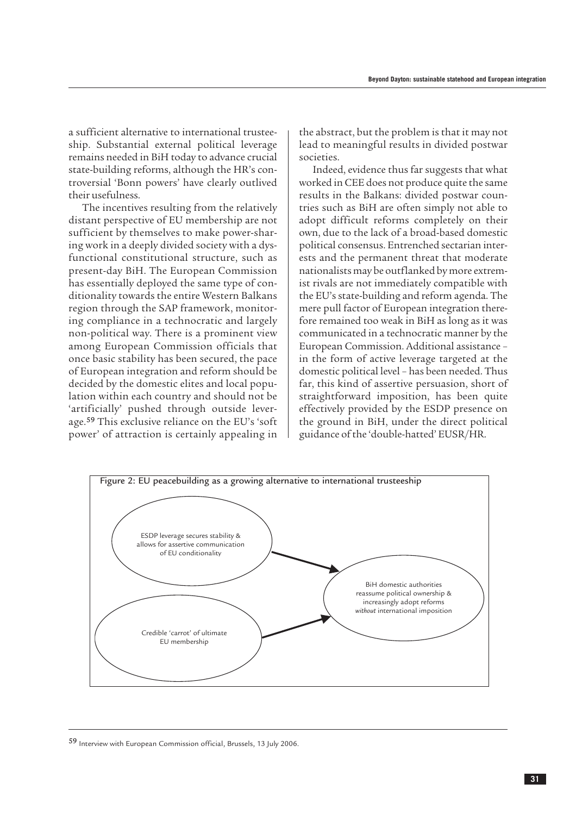a sufficient alternative to international trusteeship. Substantial external political leverage remains needed in BiH today to advance crucial state-building reforms, although the HR's controversial 'Bonn powers' have clearly outlived their usefulness.

The incentives resulting from the relatively distant perspective of EU membership are not sufficient by themselves to make power-sharing work in a deeply divided society with a dysfunctional constitutional structure, such as present-day BiH. The European Commission has essentially deployed the same type of conditionality towards the entire Western Balkans region through the SAP framework, monitoring compliance in a technocratic and largely non-political way. There is a prominent view among European Commission officials that once basic stability has been secured, the pace of European integration and reform should be decided by the domestic elites and local population within each country and should not be 'artificially' pushed through outside leverage.<sup>59</sup> This exclusive reliance on the EU's 'soft power' of attraction is certainly appealing in

the abstract, but the problem is that it may not lead to meaningful results in divided postwar societies.

Indeed, evidence thus far suggests that what worked in CEE does not produce quite the same results in the Balkans: divided postwar countries such as BiH are often simply not able to adopt difficult reforms completely on their own, due to the lack of a broad-based domestic political consensus. Entrenched sectarian interests and the permanent threat that moderate nationalists may be outflanked by more extremist rivals are not immediately compatible with the EU's state-building and reform agenda. The mere pull factor of European integration therefore remained too weak in BiH as long as it was communicated in a technocratic manner by the European Commission. Additional assistance – in the form of active leverage targeted at the domestic political level – has been needed. Thus far, this kind of assertive persuasion, short of straightforward imposition, has been quite effectively provided by the ESDP presence on the ground in BiH, under the direct political guidance of the 'double-hatted' EUSR/HR.



59 Interview with European Commission official, Brussels, 13 July 2006.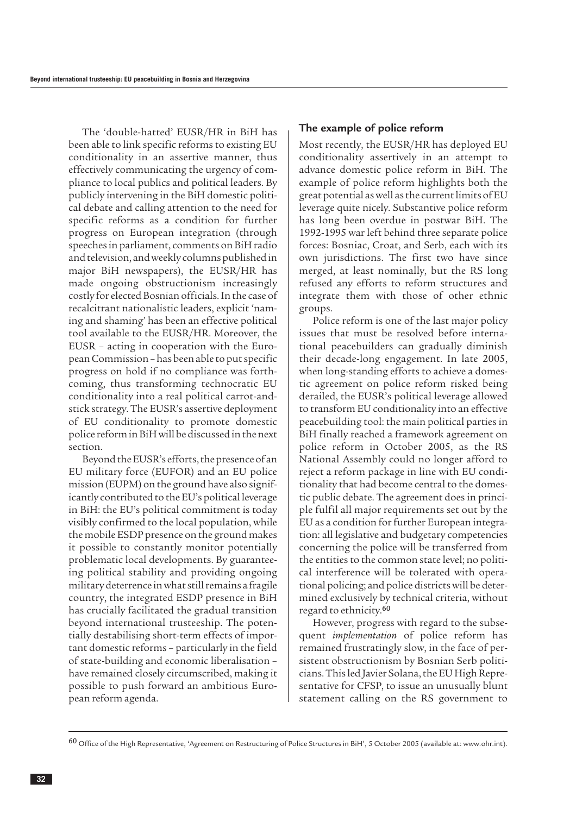The 'double-hatted' EUSR/HR in BiH has been able to link specific reforms to existing EU conditionality in an assertive manner, thus effectively communicating the urgency of compliance to local publics and political leaders. By publicly intervening in the BiH domestic political debate and calling attention to the need for specific reforms as a condition for further progress on European integration (through speeches in parliament, comments on BiH radio and television, and weekly columns published in major BiH newspapers), the EUSR/HR has made ongoing obstructionism increasingly costly for elected Bosnian officials. In the case of recalcitrant nationalistic leaders, explicit 'naming and shaming' has been an effective political tool available to the EUSR/HR. Moreover, the EUSR – acting in cooperation with the European Commission – has been able to put specific progress on hold if no compliance was forthcoming, thus transforming technocratic EU conditionality into a real political carrot-andstick strategy. The EUSR's assertive deployment of EU conditionality to promote domestic police reform in BiH will be discussed in the next section.

Beyond the EUSR's efforts, the presence of an EU military force (EUFOR) and an EU police mission (EUPM) on the ground have also significantly contributed to the EU's political leverage in BiH: the EU's political commitment is today visibly confirmed to the local population, while the mobile ESDP presence on the ground makes it possible to constantly monitor potentially problematic local developments. By guaranteeing political stability and providing ongoing military deterrence in what still remains a fragile country, the integrated ESDP presence in BiH has crucially facilitated the gradual transition beyond international trusteeship. The potentially destabilising short-term effects of important domestic reforms – particularly in the field of state-building and economic liberalisation – have remained closely circumscribed, making it possible to push forward an ambitious European reform agenda.

#### **The example of police reform**

Most recently, the EUSR/HR has deployed EU conditionality assertively in an attempt to advance domestic police reform in BiH. The example of police reform highlights both the great potential as well as the current limits of EU leverage quite nicely. Substantive police reform has long been overdue in postwar BiH. The 1992-1995 war left behind three separate police forces: Bosniac, Croat, and Serb, each with its own jurisdictions. The first two have since merged, at least nominally, but the RS long refused any efforts to reform structures and integrate them with those of other ethnic groups.

Police reform is one of the last major policy issues that must be resolved before international peacebuilders can gradually diminish their decade-long engagement. In late 2005, when long-standing efforts to achieve a domestic agreement on police reform risked being derailed, the EUSR's political leverage allowed to transform EU conditionality into an effective peacebuilding tool: the main political parties in BiH finally reached a framework agreement on police reform in October 2005, as the RS National Assembly could no longer afford to reject a reform package in line with EU conditionality that had become central to the domestic public debate. The agreement does in principle fulfil all major requirements set out by the EU as a condition for further European integration: all legislative and budgetary competencies concerning the police will be transferred from the entities to the common state level; no political interference will be tolerated with operational policing; and police districts will be determined exclusively by technical criteria, without regard to ethnicity.<sup>60</sup>

However, progress with regard to the subsequent *implementation* of police reform has remained frustratingly slow, in the face of persistent obstructionism by Bosnian Serb politicians. This led Javier Solana, the EU High Representative for CFSP, to issue an unusually blunt statement calling on the RS government to

<sup>60</sup> Office of the High Representative, 'Agreement on Restructuring of Police Structures in BiH', 5 October 2005 (available at: www.ohr.int).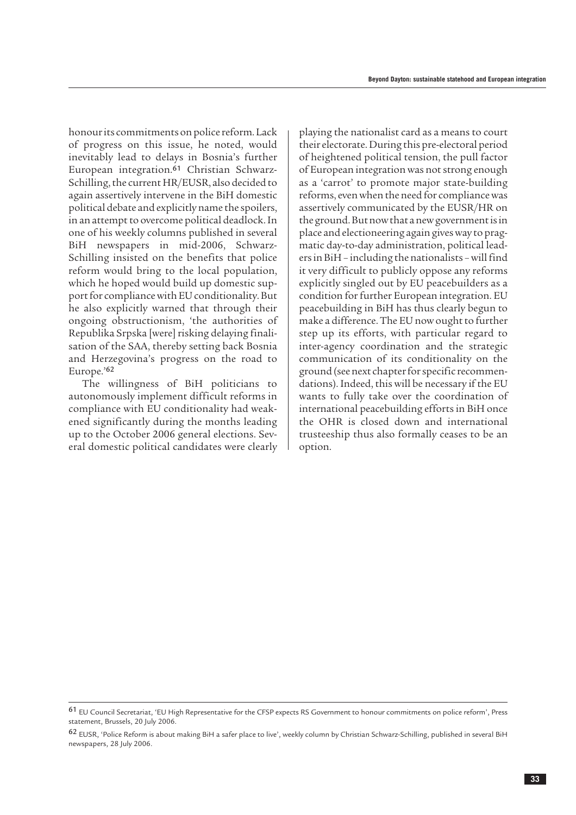honour its commitments on police reform. Lack of progress on this issue, he noted, would inevitably lead to delays in Bosnia's further European integration.<sup>61</sup> Christian Schwarz-Schilling, the current HR/EUSR, also decided to again assertively intervene in the BiH domestic political debate and explicitly name the spoilers, in an attempt to overcome political deadlock. In one of his weekly columns published in several BiH newspapers in mid-2006, Schwarz-Schilling insisted on the benefits that police reform would bring to the local population, which he hoped would build up domestic support for compliance with EU conditionality. But he also explicitly warned that through their ongoing obstructionism, 'the authorities of Republika Srpska [were] risking delaying finalisation of the SAA, thereby setting back Bosnia and Herzegovina's progress on the road to Europe.'<sup>62</sup>

The willingness of BiH politicians to autonomously implement difficult reforms in compliance with EU conditionality had weakened significantly during the months leading up to the October 2006 general elections. Several domestic political candidates were clearly playing the nationalist card as a means to court their electorate. During this pre-electoral period of heightened political tension, the pull factor of European integration was not strong enough as a 'carrot' to promote major state-building reforms, even when the need for compliance was assertively communicated by the EUSR/HR on the ground. But now that a new government is in place and electioneering again gives way to pragmatic day-to-day administration, political leaders in BiH – including the nationalists – will find it very difficult to publicly oppose any reforms explicitly singled out by EU peacebuilders as a condition for further European integration. EU peacebuilding in BiH has thus clearly begun to make a difference. The EU now ought to further step up its efforts, with particular regard to inter-agency coordination and the strategic communication of its conditionality on the ground (see next chapter for specific recommendations). Indeed, this will be necessary if the EU wants to fully take over the coordination of international peacebuilding efforts in BiH once the OHR is closed down and international trusteeship thus also formally ceases to be an option.

<sup>61</sup> EU Council Secretariat, 'EU High Representative for the CFSP expects RS Government to honour commitments on police reform', Press statement, Brussels, 20 July 2006.

<sup>62</sup> EUSR, 'Police Reform is about making BiH a safer place to live', weekly column by Christian Schwarz-Schilling, published in several BiH newspapers, 28 July 2006.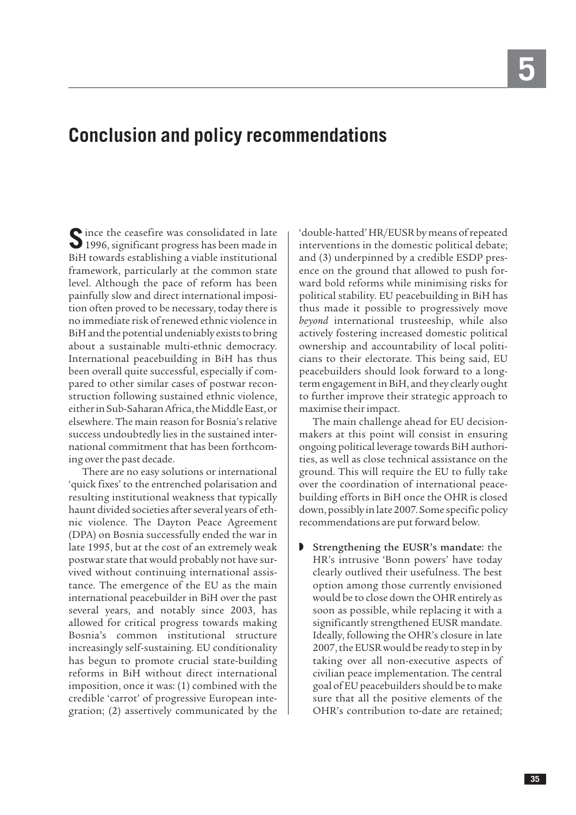## <span id="page-36-0"></span>**Conclusion and policy recommendations**

Since the ceasefire was consolidated in late<br>1996, significant progress has been made in BiH towards establishing a viable institutional framework, particularly at the common state level. Although the pace of reform has been painfully slow and direct international imposition often proved to be necessary, today there is no immediate risk of renewed ethnic violence in BiH and the potential undeniably exists to bring about a sustainable multi-ethnic democracy. International peacebuilding in BiH has thus been overall quite successful, especially if compared to other similar cases of postwar reconstruction following sustained ethnic violence, either in Sub-Saharan Africa, the Middle East, or elsewhere. The main reason for Bosnia's relative success undoubtedly lies in the sustained international commitment that has been forthcoming over the past decade.

There are no easy solutions or international 'quick fixes' to the entrenched polarisation and resulting institutional weakness that typically haunt divided societies after several years of ethnic violence. The Dayton Peace Agreement (DPA) on Bosnia successfully ended the war in late 1995, but at the cost of an extremely weak postwar state that would probably not have survived without continuing international assistance. The emergence of the EU as the main international peacebuilder in BiH over the past several years, and notably since 2003, has allowed for critical progress towards making Bosnia's common institutional structure increasingly self-sustaining. EU conditionality has begun to promote crucial state-building reforms in BiH without direct international imposition, once it was: (1) combined with the credible 'carrot' of progressive European integration; (2) assertively communicated by the

'double-hatted' HR/EUSR by means of repeated interventions in the domestic political debate; and (3) underpinned by a credible ESDP presence on the ground that allowed to push forward bold reforms while minimising risks for political stability. EU peacebuilding in BiH has thus made it possible to progressively move *beyond* international trusteeship, while also actively fostering increased domestic political ownership and accountability of local politicians to their electorate. This being said, EU peacebuilders should look forward to a longterm engagement in BiH, and they clearly ought to further improve their strategic approach to maximise their impact.

The main challenge ahead for EU decisionmakers at this point will consist in ensuring ongoing political leverage towards BiH authorities, as well as close technical assistance on the ground. This will require the EU to fully take over the coordination of international peacebuilding efforts in BiH once the OHR is closed down, possibly in late 2007. Some specific policy recommendations are put forward below.

Strengthening the EUSR's mandate: the HR's intrusive 'Bonn powers' have today clearly outlived their usefulness. The best option among those currently envisioned would be to close down the OHR entirely as soon as possible, while replacing it with a significantly strengthened EUSR mandate. Ideally, following the OHR's closure in late 2007, the EUSR would be ready to step in by taking over all non-executive aspects of civilian peace implementation. The central goal of EU peacebuilders should be to make sure that all the positive elements of the OHR's contribution to-date are retained;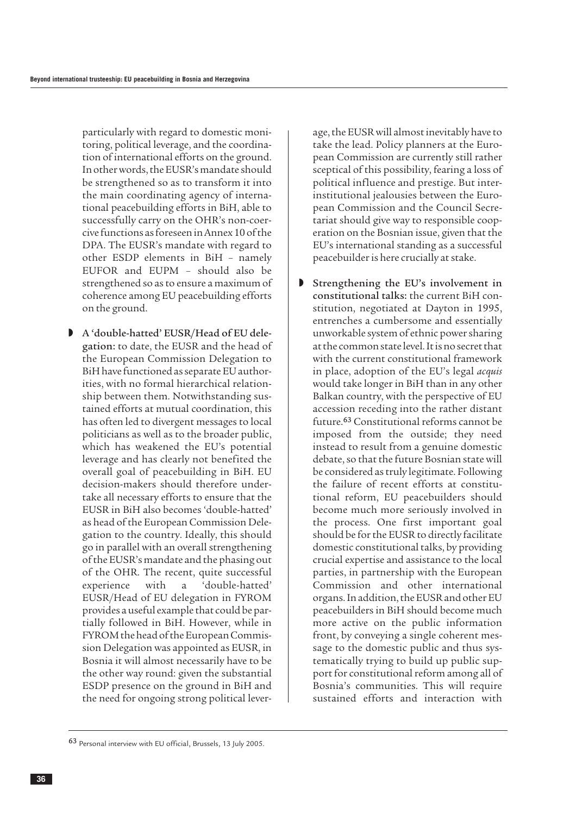particularly with regard to domestic monitoring, political leverage, and the coordination of international efforts on the ground. In other words, the EUSR's mandate should be strengthened so as to transform it into the main coordinating agency of international peacebuilding efforts in BiH, able to successfully carry on the OHR's non-coercive functions as foreseen in Annex 10 of the DPA. The EUSR's mandate with regard to other ESDP elements in BiH – namely EUFOR and EUPM – should also be strengthened so as to ensure a maximum of coherence among EU peacebuilding efforts on the ground.

 $A$  'double-hatted' EUSR/Head of EU delegation: to date, the EUSR and the head of the European Commission Delegation to BiH have functioned as separate EU authorities, with no formal hierarchical relationship between them. Notwithstanding sustained efforts at mutual coordination, this has often led to divergent messages to local politicians as well as to the broader public, which has weakened the EU's potential leverage and has clearly not benefited the overall goal of peacebuilding in BiH. EU decision-makers should therefore undertake all necessary efforts to ensure that the EUSR in BiH also becomes 'double-hatted' as head of the European Commission Delegation to the country. Ideally, this should go in parallel with an overall strengthening of the EUSR's mandate and the phasing out of the OHR. The recent, quite successful experience with a 'double-hatted' EUSR/Head of EU delegation in FYROM provides a useful example that could be partially followed in BiH. However, while in FYROM the head of the European Commission Delegation was appointed as EUSR, in Bosnia it will almost necessarily have to be the other way round: given the substantial ESDP presence on the ground in BiH and the need for ongoing strong political leverage, the EUSR will almost inevitably have to take the lead. Policy planners at the European Commission are currently still rather sceptical of this possibility, fearing a loss of political influence and prestige. But interinstitutional jealousies between the European Commission and the Council Secretariat should give way to responsible cooperation on the Bosnian issue, given that the EU's international standing as a successful peacebuilder is here crucially at stake.

Strengthening the EU's involvement in constitutional talks: the current BiH constitution, negotiated at Dayton in 1995, entrenches a cumbersome and essentially unworkable system of ethnic power sharing at the common state level. It is no secret that with the current constitutional framework in place, adoption of the EU's legal *acquis* would take longer in BiH than in any other Balkan country, with the perspective of EU accession receding into the rather distant future.<sup>63</sup> Constitutional reforms cannot be imposed from the outside; they need instead to result from a genuine domestic debate, so that the future Bosnian state will be considered as truly legitimate. Following the failure of recent efforts at constitutional reform, EU peacebuilders should become much more seriously involved in the process. One first important goal should be for the EUSR to directly facilitate domestic constitutional talks, by providing crucial expertise and assistance to the local parties, in partnership with the European Commission and other international organs. In addition, the EUSR and other EU peacebuilders in BiH should become much more active on the public information front, by conveying a single coherent message to the domestic public and thus systematically trying to build up public support for constitutional reform among all of Bosnia's communities. This will require sustained efforts and interaction with

<sup>63</sup> Personal interview with EU official, Brussels, 13 July 2005.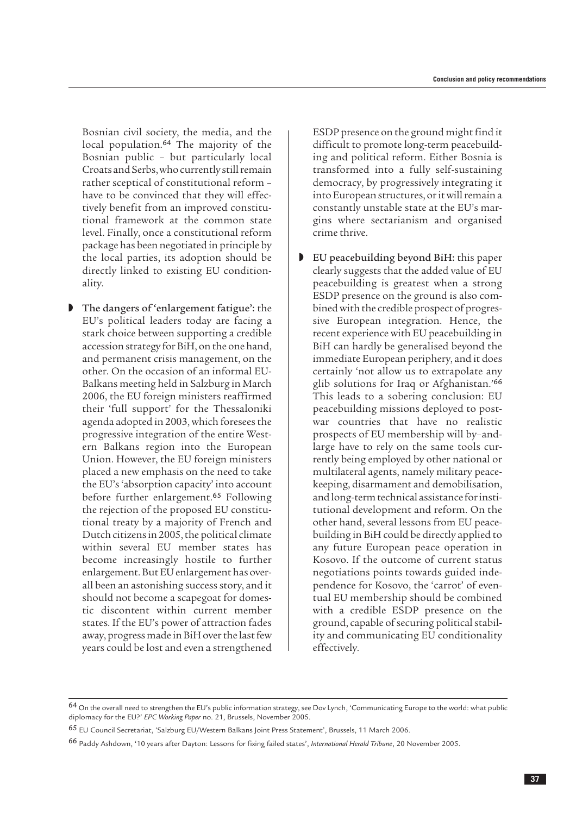Bosnian civil society, the media, and the local population.<sup>64</sup> The majority of the Bosnian public – but particularly local Croats and Serbs, who currently still remain rather sceptical of constitutional reform – have to be convinced that they will effectively benefit from an improved constitutional framework at the common state level. Finally, once a constitutional reform package has been negotiated in principle by the local parties, its adoption should be directly linked to existing EU conditionality.

The dangers of 'enlargement fatigue': the EU's political leaders today are facing a stark choice between supporting a credible accession strategy for BiH, on the one hand, and permanent crisis management, on the other. On the occasion of an informal EU-Balkans meeting held in Salzburg in March 2006, the EU foreign ministers reaffirmed their 'full support' for the Thessaloniki agenda adopted in 2003, which foresees the progressive integration of the entire Western Balkans region into the European Union. However, the EU foreign ministers placed a new emphasis on the need to take the EU's 'absorption capacity' into account before further enlargement.<sup>65</sup> Following the rejection of the proposed EU constitutional treaty by a majority of French and Dutch citizens in 2005, the political climate within several EU member states has become increasingly hostile to further enlargement. But EU enlargement has overall been an astonishing success story, and it should not become a scapegoat for domestic discontent within current member states. If the EU's power of attraction fades away, progress made in BiH over the last few years could be lost and even a strengthened

ESDP presence on the ground might find it difficult to promote long-term peacebuilding and political reform. Either Bosnia is transformed into a fully self-sustaining democracy, by progressively integrating it into European structures, or it will remain a constantly unstable state at the EU's margins where sectarianism and organised crime thrive.

D EU peacebuilding beyond BiH: this paper clearly suggests that the added value of EU peacebuilding is greatest when a strong ESDP presence on the ground is also combined with the credible prospect of progressive European integration. Hence, the recent experience with EU peacebuilding in BiH can hardly be generalised beyond the immediate European periphery, and it does certainly 'not allow us to extrapolate any glib solutions for Iraq or Afghanistan.'<sup>66</sup> This leads to a sobering conclusion: EU peacebuilding missions deployed to postwar countries that have no realistic prospects of EU membership will by–andlarge have to rely on the same tools currently being employed by other national or multilateral agents, namely military peacekeeping, disarmament and demobilisation, and long-term technical assistance for institutional development and reform. On the other hand, several lessons from EU peacebuilding in BiH could be directly applied to any future European peace operation in Kosovo. If the outcome of current status negotiations points towards guided independence for Kosovo, the 'carrot' of eventual EU membership should be combined with a credible ESDP presence on the ground, capable of securing political stability and communicating EU conditionality effectively.

<sup>64</sup> On the overall need to strengthen the EU's public information strategy, see Dov Lynch, 'Communicating Europe to the world: what public diplomacy for the EU?' *EPC Working Paper* no. 21, Brussels, November 2005.

<sup>65</sup> EU Council Secretariat, 'Salzburg EU/Western Balkans Joint Press Statement', Brussels, 11 March 2006.

<sup>66</sup> Paddy Ashdown, '10 years after Dayton: Lessons for fixing failed states', *International Herald Tribune*, 20 November 2005.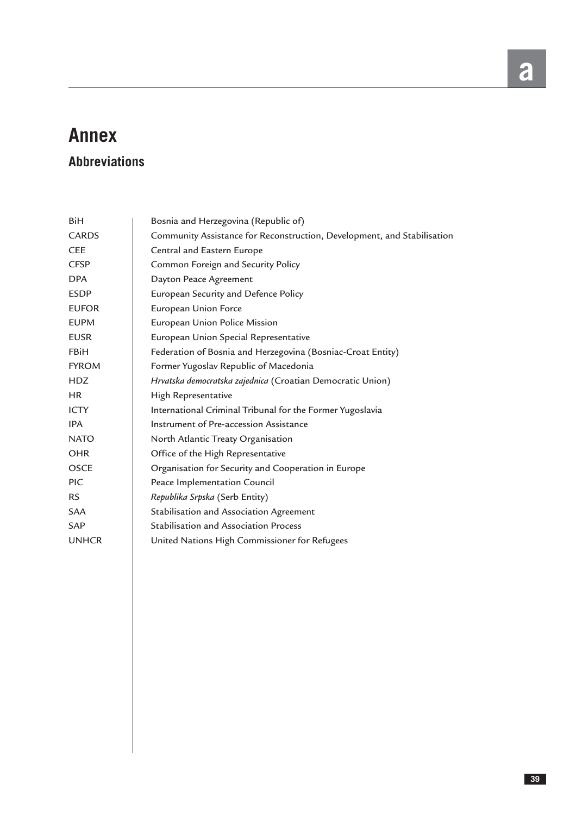## **Annex**

## **Abbreviations**

| <b>BiH</b>   | Bosnia and Herzegovina (Republic of)                                    |
|--------------|-------------------------------------------------------------------------|
| <b>CARDS</b> | Community Assistance for Reconstruction, Development, and Stabilisation |
| <b>CEE</b>   | Central and Eastern Europe                                              |
| <b>CFSP</b>  | Common Foreign and Security Policy                                      |
| <b>DPA</b>   | Dayton Peace Agreement                                                  |
| <b>ESDP</b>  | European Security and Defence Policy                                    |
| <b>EUFOR</b> | European Union Force                                                    |
| <b>EUPM</b>  | European Union Police Mission                                           |
| <b>EUSR</b>  | European Union Special Representative                                   |
| <b>FBiH</b>  | Federation of Bosnia and Herzegovina (Bosniac-Croat Entity)             |
| <b>FYROM</b> | Former Yugoslav Republic of Macedonia                                   |
| <b>HDZ</b>   | Hrvatska democratska zajednica (Croatian Democratic Union)              |
| HR.          | High Representative                                                     |
| <b>ICTY</b>  | International Criminal Tribunal for the Former Yugoslavia               |
| <b>IPA</b>   | Instrument of Pre-accession Assistance                                  |
| <b>NATO</b>  | North Atlantic Treaty Organisation                                      |
| <b>OHR</b>   | Office of the High Representative                                       |
| <b>OSCE</b>  | Organisation for Security and Cooperation in Europe                     |
| <b>PIC</b>   | Peace Implementation Council                                            |
| <b>RS</b>    | Republika Srpska (Serb Entity)                                          |
| <b>SAA</b>   | Stabilisation and Association Agreement                                 |
| <b>SAP</b>   | <b>Stabilisation and Association Process</b>                            |
| <b>UNHCR</b> | United Nations High Commissioner for Refugees                           |
|              |                                                                         |